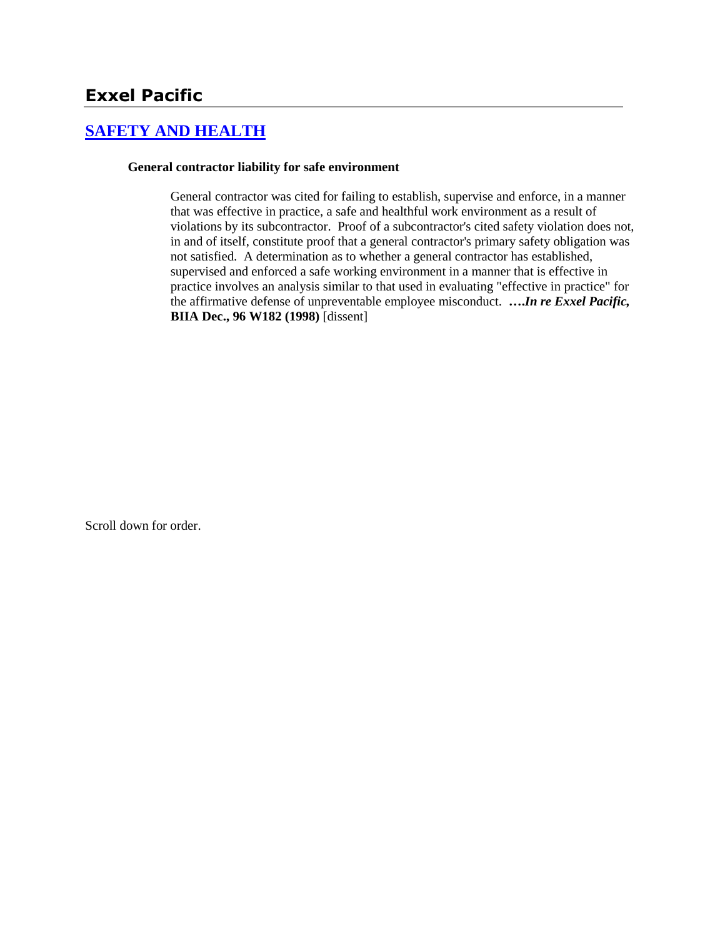## **[SAFETY AND HEALTH](http://www.biia.wa.gov/SDSubjectIndex.html#SAFETY_AND_HEALTH)**

#### **General contractor liability for safe environment**

General contractor was cited for failing to establish, supervise and enforce, in a manner that was effective in practice, a safe and healthful work environment as a result of violations by its subcontractor. Proof of a subcontractor's cited safety violation does not, in and of itself, constitute proof that a general contractor's primary safety obligation was not satisfied. A determination as to whether a general contractor has established, supervised and enforced a safe working environment in a manner that is effective in practice involves an analysis similar to that used in evaluating "effective in practice" for the affirmative defense of unpreventable employee misconduct. **….***In re Exxel Pacific,* **BIIA Dec., 96 W182 (1998)** [dissent]

Scroll down for order.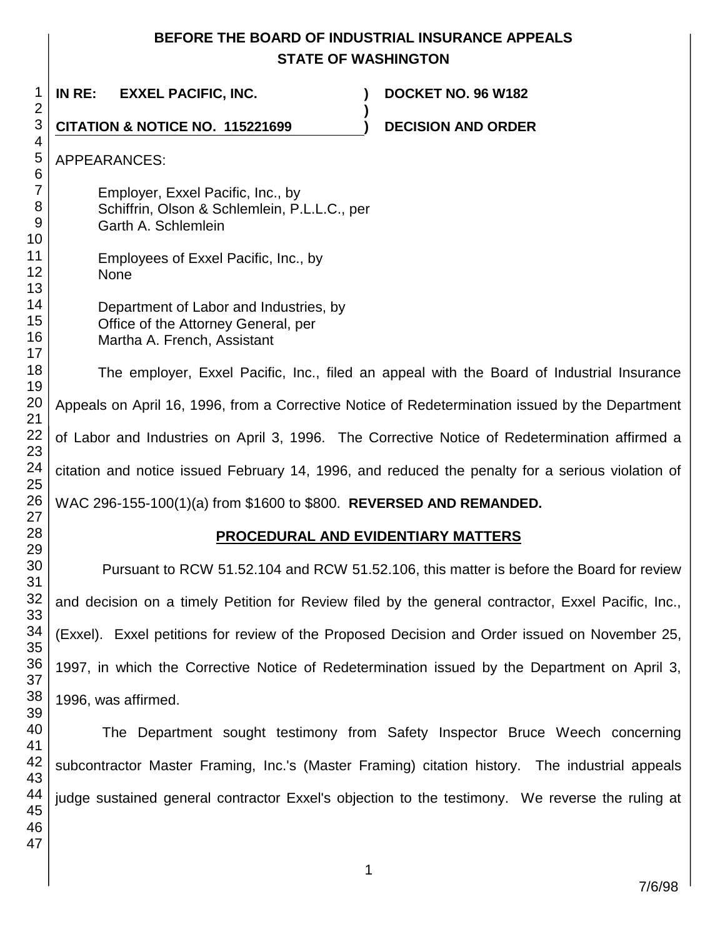## **BEFORE THE BOARD OF INDUSTRIAL INSURANCE APPEALS STATE OF WASHINGTON**

**)**

 **IN RE: EXXEL PACIFIC, INC. ) DOCKET NO. 96 W182**

**CITATION & NOTICE NO. 115221699 ) DECISION AND ORDER** 

APPEARANCES:

Employer, Exxel Pacific, Inc., by Schiffrin, Olson & Schlemlein, P.L.L.C., per Garth A. Schlemlein

Employees of Exxel Pacific, Inc., by None

Department of Labor and Industries, by Office of the Attorney General, per Martha A. French, Assistant

The employer, Exxel Pacific, Inc., filed an appeal with the Board of Industrial Insurance Appeals on April 16, 1996, from a Corrective Notice of Redetermination issued by the Department of Labor and Industries on April 3, 1996. The Corrective Notice of Redetermination affirmed a citation and notice issued February 14, 1996, and reduced the penalty for a serious violation of WAC 296-155-100(1)(a) from \$1600 to \$800. **REVERSED AND REMANDED.**

# **PROCEDURAL AND EVIDENTIARY MATTERS**

Pursuant to RCW 51.52.104 and RCW 51.52.106, this matter is before the Board for review and decision on a timely Petition for Review filed by the general contractor, Exxel Pacific, Inc., (Exxel). Exxel petitions for review of the Proposed Decision and Order issued on November 25, 1997, in which the Corrective Notice of Redetermination issued by the Department on April 3, 1996, was affirmed.

The Department sought testimony from Safety Inspector Bruce Weech concerning subcontractor Master Framing, Inc.'s (Master Framing) citation history. The industrial appeals judge sustained general contractor Exxel's objection to the testimony. We reverse the ruling at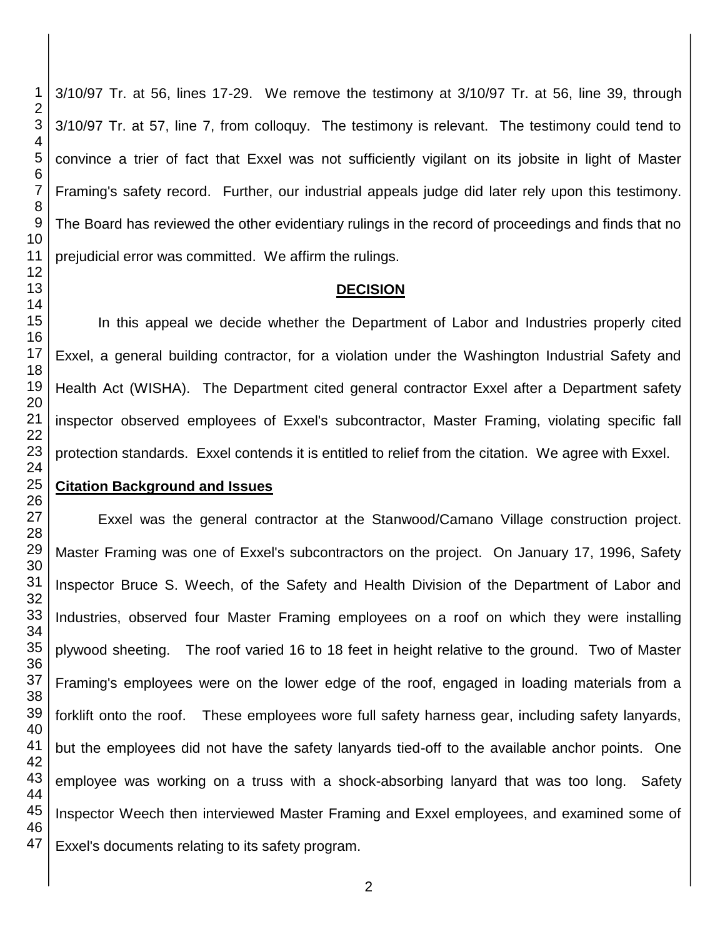3/10/97 Tr. at 56, lines 17-29. We remove the testimony at 3/10/97 Tr. at 56, line 39, through 3/10/97 Tr. at 57, line 7, from colloquy. The testimony is relevant. The testimony could tend to convince a trier of fact that Exxel was not sufficiently vigilant on its jobsite in light of Master Framing's safety record. Further, our industrial appeals judge did later rely upon this testimony. The Board has reviewed the other evidentiary rulings in the record of proceedings and finds that no prejudicial error was committed. We affirm the rulings.

## **DECISION**

In this appeal we decide whether the Department of Labor and Industries properly cited Exxel, a general building contractor, for a violation under the Washington Industrial Safety and Health Act (WISHA). The Department cited general contractor Exxel after a Department safety inspector observed employees of Exxel's subcontractor, Master Framing, violating specific fall protection standards. Exxel contends it is entitled to relief from the citation. We agree with Exxel.

## **Citation Background and Issues**

Exxel was the general contractor at the Stanwood/Camano Village construction project. Master Framing was one of Exxel's subcontractors on the project. On January 17, 1996, Safety Inspector Bruce S. Weech, of the Safety and Health Division of the Department of Labor and Industries, observed four Master Framing employees on a roof on which they were installing plywood sheeting. The roof varied 16 to 18 feet in height relative to the ground. Two of Master Framing's employees were on the lower edge of the roof, engaged in loading materials from a forklift onto the roof. These employees wore full safety harness gear, including safety lanyards, but the employees did not have the safety lanyards tied-off to the available anchor points. One employee was working on a truss with a shock-absorbing lanyard that was too long. Safety Inspector Weech then interviewed Master Framing and Exxel employees, and examined some of Exxel's documents relating to its safety program.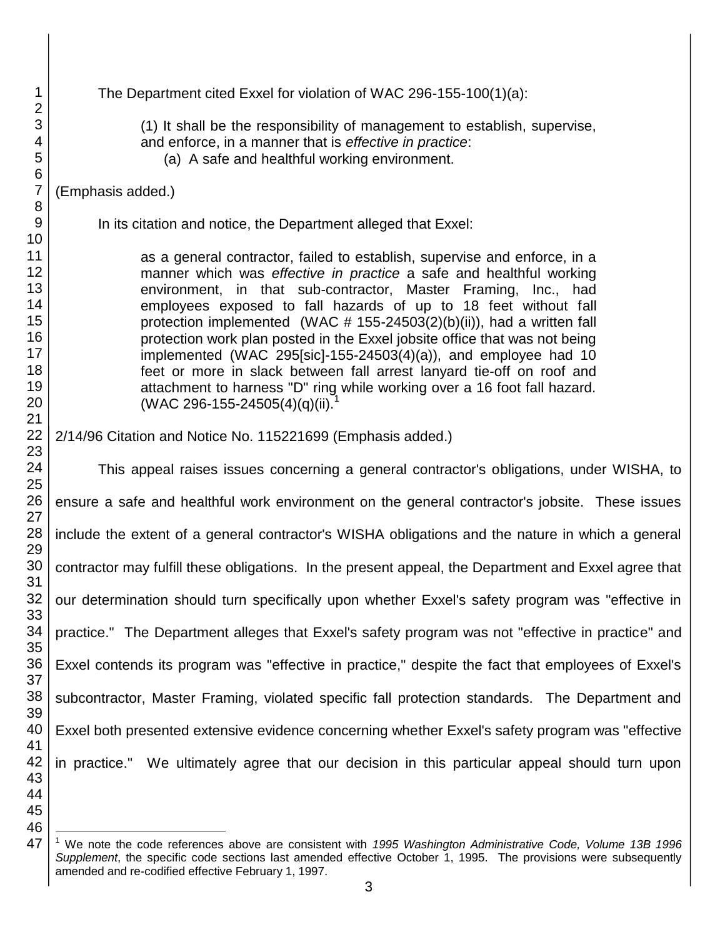| 1<br>$\overline{2}$                                      | The Department cited Exxel for violation of WAC 296-155-100(1)(a):                                                                                                                                                                                                                                                                                                                                                                                                                                                                                                                                                                                                                                        |
|----------------------------------------------------------|-----------------------------------------------------------------------------------------------------------------------------------------------------------------------------------------------------------------------------------------------------------------------------------------------------------------------------------------------------------------------------------------------------------------------------------------------------------------------------------------------------------------------------------------------------------------------------------------------------------------------------------------------------------------------------------------------------------|
| 3<br>4<br>5<br>6                                         | (1) It shall be the responsibility of management to establish, supervise,<br>and enforce, in a manner that is effective in practice:<br>(a) A safe and healthful working environment.                                                                                                                                                                                                                                                                                                                                                                                                                                                                                                                     |
| $\overline{7}$<br>$\,8\,$                                | (Emphasis added.)                                                                                                                                                                                                                                                                                                                                                                                                                                                                                                                                                                                                                                                                                         |
| $9\,$<br>10                                              | In its citation and notice, the Department alleged that Exxel:                                                                                                                                                                                                                                                                                                                                                                                                                                                                                                                                                                                                                                            |
| 11<br>12<br>13<br>14<br>15<br>16<br>17<br>18<br>19<br>20 | as a general contractor, failed to establish, supervise and enforce, in a<br>manner which was effective in practice a safe and healthful working<br>environment, in that sub-contractor, Master Framing, Inc., had<br>employees exposed to fall hazards of up to 18 feet without fall<br>protection implemented (WAC $# 155-24503(2)(b)(ii)$ ), had a written fall<br>protection work plan posted in the Exxel jobsite office that was not being<br>implemented (WAC 295[sic]-155-24503(4)(a)), and employee had 10<br>feet or more in slack between fall arrest lanyard tie-off on roof and<br>attachment to harness "D" ring while working over a 16 foot fall hazard.<br>(WAC 296-155-24505(4)(q)(ii). |
| 21<br>22                                                 | 2/14/96 Citation and Notice No. 115221699 (Emphasis added.)                                                                                                                                                                                                                                                                                                                                                                                                                                                                                                                                                                                                                                               |
| 23<br>24<br>25                                           | This appeal raises issues concerning a general contractor's obligations, under WISHA, to                                                                                                                                                                                                                                                                                                                                                                                                                                                                                                                                                                                                                  |
| 26<br>27                                                 | ensure a safe and healthful work environment on the general contractor's jobsite. These issues                                                                                                                                                                                                                                                                                                                                                                                                                                                                                                                                                                                                            |
| 28<br>29                                                 | include the extent of a general contractor's WISHA obligations and the nature in which a general                                                                                                                                                                                                                                                                                                                                                                                                                                                                                                                                                                                                          |
| 30<br>31                                                 | contractor may fulfill these obligations. In the present appeal, the Department and Exxel agree that                                                                                                                                                                                                                                                                                                                                                                                                                                                                                                                                                                                                      |
| 32<br>33                                                 | our determination should turn specifically upon whether Exxel's safety program was "effective in                                                                                                                                                                                                                                                                                                                                                                                                                                                                                                                                                                                                          |
| 34<br>35                                                 | practice." The Department alleges that Exxel's safety program was not "effective in practice" and                                                                                                                                                                                                                                                                                                                                                                                                                                                                                                                                                                                                         |
| 36<br>37                                                 | Exxel contends its program was "effective in practice," despite the fact that employees of Exxel's                                                                                                                                                                                                                                                                                                                                                                                                                                                                                                                                                                                                        |
| 38<br>39                                                 | subcontractor, Master Framing, violated specific fall protection standards. The Department and                                                                                                                                                                                                                                                                                                                                                                                                                                                                                                                                                                                                            |
| 40<br>41                                                 | Exxel both presented extensive evidence concerning whether Exxel's safety program was "effective"                                                                                                                                                                                                                                                                                                                                                                                                                                                                                                                                                                                                         |
| 42<br>43<br>44                                           | in practice." We ultimately agree that our decision in this particular appeal should turn upon                                                                                                                                                                                                                                                                                                                                                                                                                                                                                                                                                                                                            |
| 45<br>46                                                 |                                                                                                                                                                                                                                                                                                                                                                                                                                                                                                                                                                                                                                                                                                           |
| 47                                                       | <sup>1</sup> We note the code references above are consistent with 1995 Washington Administrative Code, Volume 13B 1996                                                                                                                                                                                                                                                                                                                                                                                                                                                                                                                                                                                   |

 We note the code references above are consistent with *1995 Washington Administrative Code, Volume 13B 1996 Supplement*, the specific code sections last amended effective October 1, 1995. The provisions were subsequently amended and re-codified effective February 1, 1997.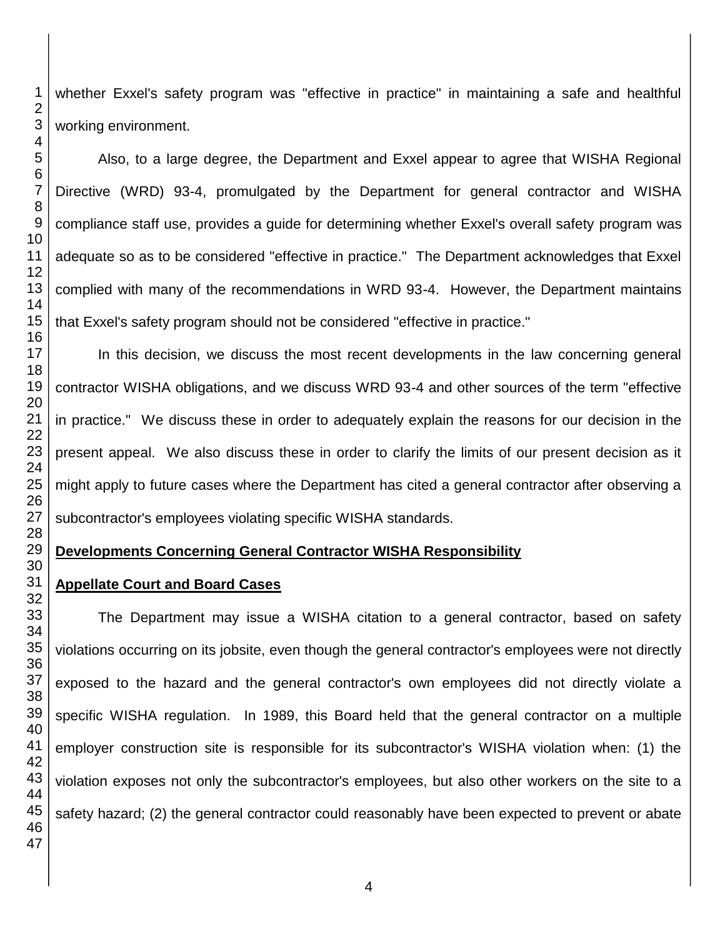whether Exxel's safety program was "effective in practice" in maintaining a safe and healthful working environment.

Also, to a large degree, the Department and Exxel appear to agree that WISHA Regional Directive (WRD) 93-4, promulgated by the Department for general contractor and WISHA compliance staff use, provides a guide for determining whether Exxel's overall safety program was adequate so as to be considered "effective in practice." The Department acknowledges that Exxel complied with many of the recommendations in WRD 93-4. However, the Department maintains that Exxel's safety program should not be considered "effective in practice."

In this decision, we discuss the most recent developments in the law concerning general contractor WISHA obligations, and we discuss WRD 93-4 and other sources of the term "effective in practice." We discuss these in order to adequately explain the reasons for our decision in the present appeal. We also discuss these in order to clarify the limits of our present decision as it might apply to future cases where the Department has cited a general contractor after observing a subcontractor's employees violating specific WISHA standards.

# **Developments Concerning General Contractor WISHA Responsibility**

# **Appellate Court and Board Cases**

 The Department may issue a WISHA citation to a general contractor, based on safety violations occurring on its jobsite, even though the general contractor's employees were not directly exposed to the hazard and the general contractor's own employees did not directly violate a specific WISHA regulation. In 1989, this Board held that the general contractor on a multiple employer construction site is responsible for its subcontractor's WISHA violation when: (1) the violation exposes not only the subcontractor's employees, but also other workers on the site to a safety hazard; (2) the general contractor could reasonably have been expected to prevent or abate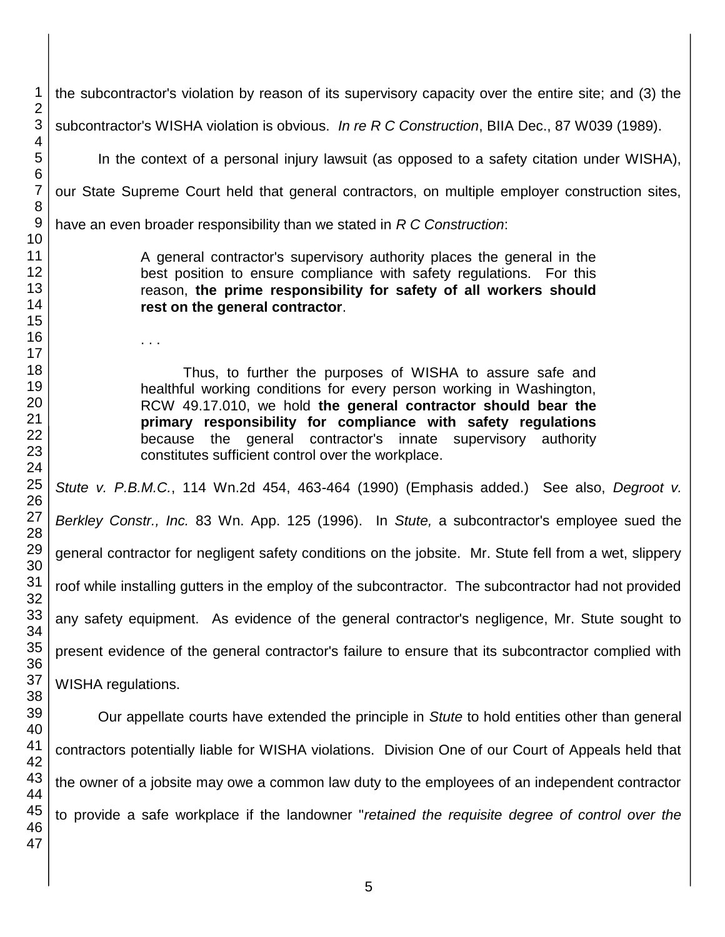subcontractor's WISHA violation is obvious. *In re R C Construction*, BIIA Dec., 87 W039 (1989). In the context of a personal injury lawsuit (as opposed to a safety citation under WISHA), our State Supreme Court held that general contractors, on multiple employer construction sites, have an even broader responsibility than we stated in *R C Construction*: A general contractor's supervisory authority places the general in the best position to ensure compliance with safety regulations. For this reason, **the prime responsibility for safety of all workers should rest on the general contractor**. . . . Thus, to further the purposes of WISHA to assure safe and healthful working conditions for every person working in Washington, RCW 49.17.010, we hold **the general contractor should bear the primary responsibility for compliance with safety regulations** because the general contractor's innate supervisory authority constitutes sufficient control over the workplace. *Stute v. P.B.M.C.*, 114 Wn.2d 454, 463-464 (1990) (Emphasis added.) See also, *Degroot v. Berkley Constr., Inc.* 83 Wn. App. 125 (1996). In *Stute,* a subcontractor's employee sued the general contractor for negligent safety conditions on the jobsite. Mr. Stute fell from a wet, slippery roof while installing gutters in the employ of the subcontractor. The subcontractor had not provided any safety equipment. As evidence of the general contractor's negligence, Mr. Stute sought to present evidence of the general contractor's failure to ensure that its subcontractor complied with WISHA regulations. Our appellate courts have extended the principle in *Stute* to hold entities other than general contractors potentially liable for WISHA violations. Division One of our Court of Appeals held that the owner of a jobsite may owe a common law duty to the employees of an independent contractor to provide a safe workplace if the landowner "*retained the requisite degree of control over the* 

the subcontractor's violation by reason of its supervisory capacity over the entire site; and (3) the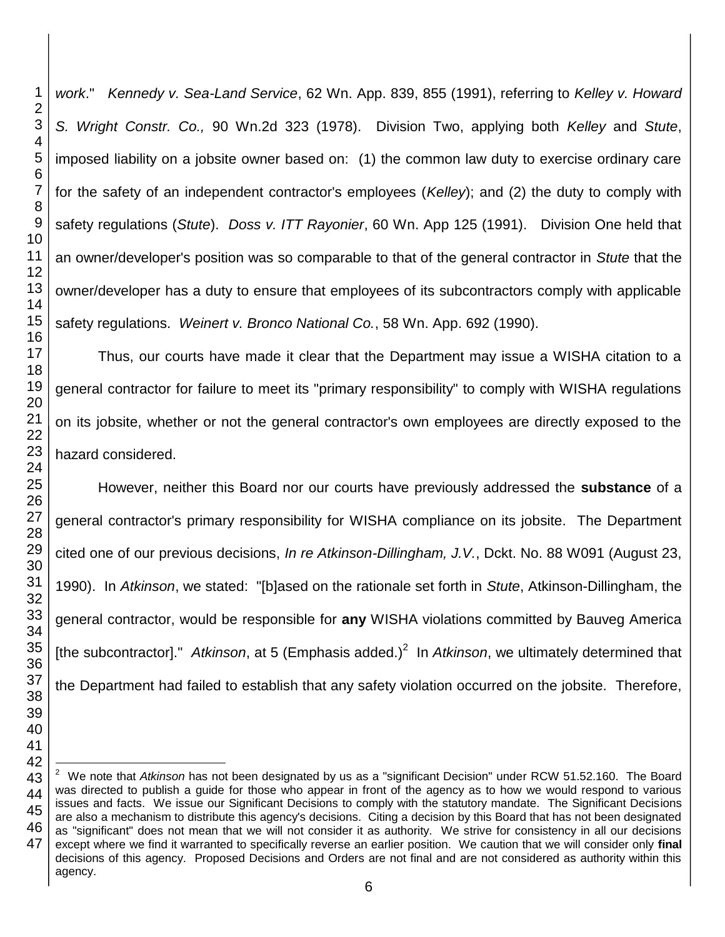*work*." *Kennedy v. Sea-Land Service*, 62 Wn. App. 839, 855 (1991), referring to *Kelley v. Howard S. Wright Constr. Co.,* 90 Wn.2d 323 (1978). Division Two, applying both *Kelley* and *Stute*, imposed liability on a jobsite owner based on: (1) the common law duty to exercise ordinary care for the safety of an independent contractor's employees (*Kelley*); and (2) the duty to comply with safety regulations (*Stute*). *Doss v. ITT Rayonier*, 60 Wn. App 125 (1991). Division One held that an owner/developer's position was so comparable to that of the general contractor in *Stute* that the owner/developer has a duty to ensure that employees of its subcontractors comply with applicable safety regulations. *Weinert v. Bronco National Co.*, 58 Wn. App. 692 (1990).

Thus, our courts have made it clear that the Department may issue a WISHA citation to a general contractor for failure to meet its "primary responsibility" to comply with WISHA regulations on its jobsite, whether or not the general contractor's own employees are directly exposed to the hazard considered.

However, neither this Board nor our courts have previously addressed the **substance** of a general contractor's primary responsibility for WISHA compliance on its jobsite. The Department cited one of our previous decisions, *In re Atkinson-Dillingham, J.V.*, Dckt. No. 88 W091 (August 23, 1990). In *Atkinson*, we stated: "[b]ased on the rationale set forth in *Stute*, Atkinson-Dillingham, the general contractor, would be responsible for **any** WISHA violations committed by Bauveg America [the subcontractor]." Atkinson, at 5 (Emphasis added.)<sup>2</sup> In Atkinson, we ultimately determined that the Department had failed to establish that any safety violation occurred on the jobsite. Therefore,

 We note that *Atkinson* has not been designated by us as a "significant Decision" under RCW 51.52.160. The Board was directed to publish a guide for those who appear in front of the agency as to how we would respond to various issues and facts. We issue our Significant Decisions to comply with the statutory mandate. The Significant Decisions are also a mechanism to distribute this agency's decisions. Citing a decision by this Board that has not been designated as "significant" does not mean that we will not consider it as authority. We strive for consistency in all our decisions except where we find it warranted to specifically reverse an earlier position. We caution that we will consider only **final** decisions of this agency. Proposed Decisions and Orders are not final and are not considered as authority within this agency.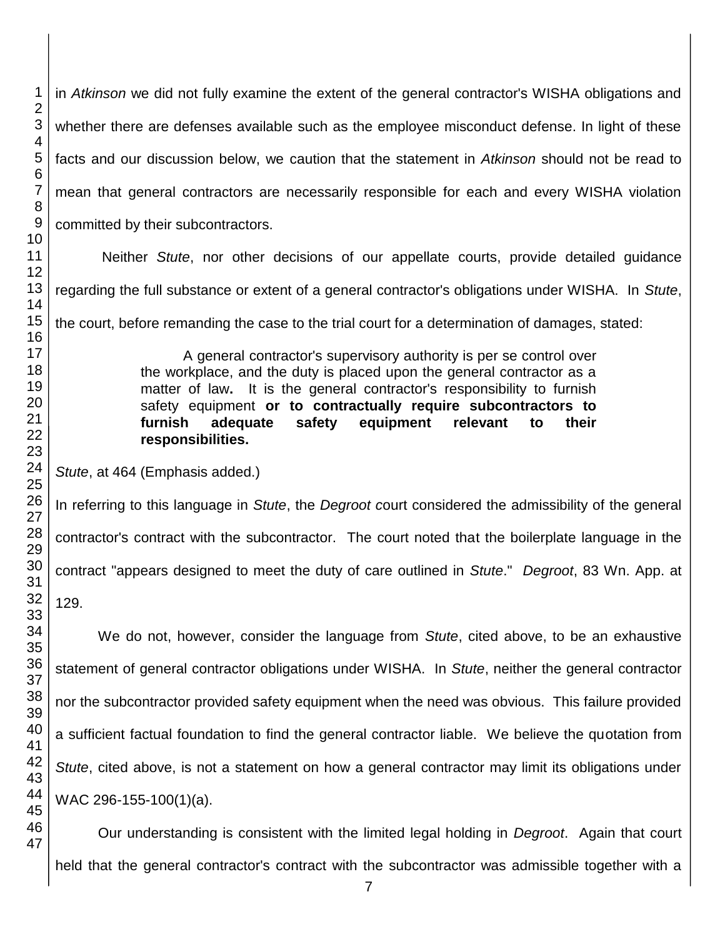in *Atkinson* we did not fully examine the extent of the general contractor's WISHA obligations and whether there are defenses available such as the employee misconduct defense. In light of these facts and our discussion below, we caution that the statement in *Atkinson* should not be read to mean that general contractors are necessarily responsible for each and every WISHA violation committed by their subcontractors.

Neither *Stute*, nor other decisions of our appellate courts, provide detailed guidance regarding the full substance or extent of a general contractor's obligations under WISHA. In *Stute*,

the court, before remanding the case to the trial court for a determination of damages, stated:

A general contractor's supervisory authority is per se control over the workplace, and the duty is placed upon the general contractor as a matter of law**.** It is the general contractor's responsibility to furnish safety equipment **or to contractually require subcontractors to furnish adequate safety equipment relevant to their responsibilities.**

*Stute*, at 464 (Emphasis added.)

In referring to this language in *Stute*, the *Degroot c*ourt considered the admissibility of the general contractor's contract with the subcontractor. The court noted that the boilerplate language in the contract "appears designed to meet the duty of care outlined in *Stute*." *Degroot*, 83 Wn. App. at

129.

We do not, however, consider the language from *Stute*, cited above, to be an exhaustive statement of general contractor obligations under WISHA. In *Stute*, neither the general contractor nor the subcontractor provided safety equipment when the need was obvious. This failure provided a sufficient factual foundation to find the general contractor liable. We believe the quotation from *Stute*, cited above, is not a statement on how a general contractor may limit its obligations under WAC 296-155-100(1)(a).

Our understanding is consistent with the limited legal holding in *Degroot*. Again that court held that the general contractor's contract with the subcontractor was admissible together with a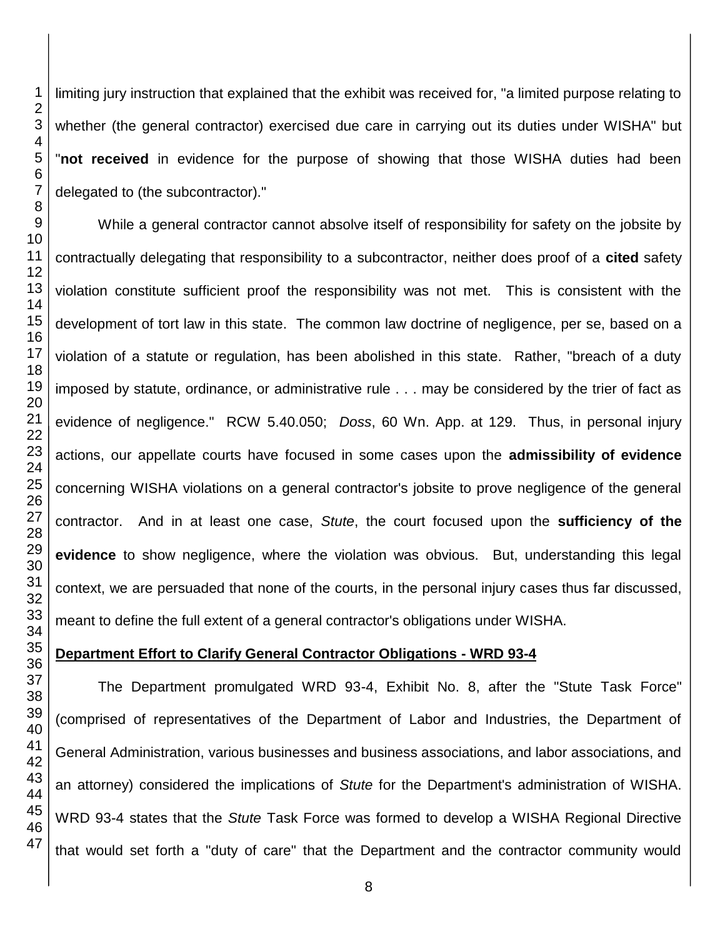limiting jury instruction that explained that the exhibit was received for, "a limited purpose relating to whether (the general contractor) exercised due care in carrying out its duties under WISHA" but "**not received** in evidence for the purpose of showing that those WISHA duties had been delegated to (the subcontractor)."

While a general contractor cannot absolve itself of responsibility for safety on the jobsite by contractually delegating that responsibility to a subcontractor, neither does proof of a **cited** safety violation constitute sufficient proof the responsibility was not met. This is consistent with the development of tort law in this state. The common law doctrine of negligence, per se, based on a violation of a statute or regulation, has been abolished in this state. Rather, "breach of a duty imposed by statute, ordinance, or administrative rule . . . may be considered by the trier of fact as evidence of negligence." RCW 5.40.050; *Doss*, 60 Wn. App. at 129. Thus, in personal injury actions, our appellate courts have focused in some cases upon the **admissibility of evidence** concerning WISHA violations on a general contractor's jobsite to prove negligence of the general contractor. And in at least one case, *Stute*, the court focused upon the **sufficiency of the evidence** to show negligence, where the violation was obvious. But, understanding this legal context, we are persuaded that none of the courts, in the personal injury cases thus far discussed, meant to define the full extent of a general contractor's obligations under WISHA.

## **Department Effort to Clarify General Contractor Obligations - WRD 93-4**

The Department promulgated WRD 93-4, Exhibit No. 8, after the "Stute Task Force" (comprised of representatives of the Department of Labor and Industries, the Department of General Administration, various businesses and business associations, and labor associations, and an attorney) considered the implications of *Stute* for the Department's administration of WISHA. WRD 93-4 states that the *Stute* Task Force was formed to develop a WISHA Regional Directive that would set forth a "duty of care" that the Department and the contractor community would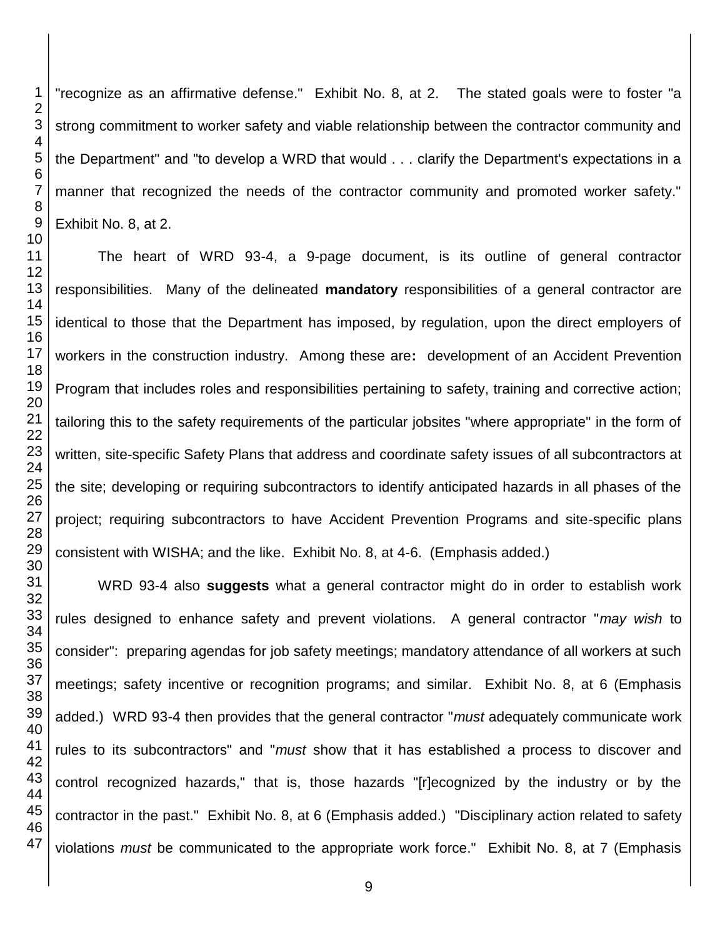"recognize as an affirmative defense." Exhibit No. 8, at 2. The stated goals were to foster "a strong commitment to worker safety and viable relationship between the contractor community and the Department" and "to develop a WRD that would . . . clarify the Department's expectations in a manner that recognized the needs of the contractor community and promoted worker safety." Exhibit No. 8, at 2.

The heart of WRD 93-4, a 9-page document, is its outline of general contractor responsibilities. Many of the delineated **mandatory** responsibilities of a general contractor are identical to those that the Department has imposed, by regulation, upon the direct employers of workers in the construction industry. Among these are**:** development of an Accident Prevention Program that includes roles and responsibilities pertaining to safety, training and corrective action; tailoring this to the safety requirements of the particular jobsites "where appropriate" in the form of written, site-specific Safety Plans that address and coordinate safety issues of all subcontractors at the site; developing or requiring subcontractors to identify anticipated hazards in all phases of the project; requiring subcontractors to have Accident Prevention Programs and site-specific plans consistent with WISHA; and the like. Exhibit No. 8, at 4-6. (Emphasis added.)

 WRD 93-4 also **suggests** what a general contractor might do in order to establish work rules designed to enhance safety and prevent violations. A general contractor "*may wish* to consider":preparing agendas for job safety meetings; mandatory attendance of all workers at such meetings; safety incentive or recognition programs; and similar. Exhibit No. 8, at 6 (Emphasis added.) WRD 93-4 then provides that the general contractor "*must* adequately communicate work rules to its subcontractors" and "*must* show that it has established a process to discover and control recognized hazards," that is, those hazards "[r]ecognized by the industry or by the contractor in the past." Exhibit No. 8, at 6 (Emphasis added.) "Disciplinary action related to safety violations *must* be communicated to the appropriate work force." Exhibit No. 8, at 7 (Emphasis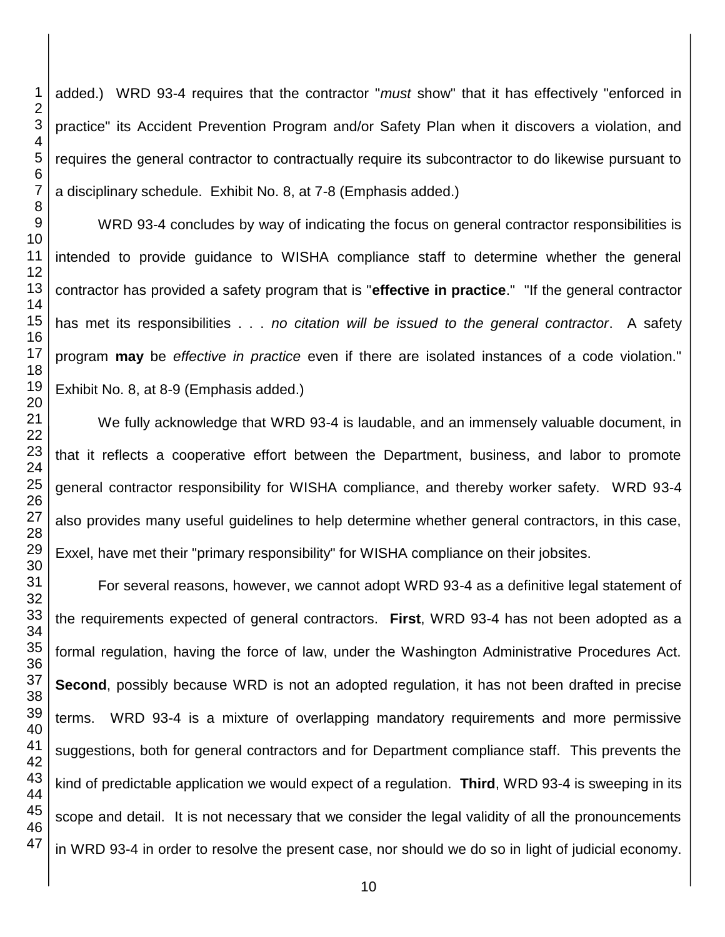added.) WRD 93-4 requires that the contractor "*must* show" that it has effectively "enforced in practice" its Accident Prevention Program and/or Safety Plan when it discovers a violation, and requires the general contractor to contractually require its subcontractor to do likewise pursuant to a disciplinary schedule. Exhibit No. 8, at 7-8 (Emphasis added.)

WRD 93-4 concludes by way of indicating the focus on general contractor responsibilities is intended to provide guidance to WISHA compliance staff to determine whether the general contractor has provided a safety program that is "**effective in practice**." "If the general contractor has met its responsibilities . . . *no citation will be issued to the general contractor*. A safety program **may** be *effective in practice* even if there are isolated instances of a code violation." Exhibit No. 8, at 8-9 (Emphasis added.)

We fully acknowledge that WRD 93-4 is laudable, and an immensely valuable document, in that it reflects a cooperative effort between the Department, business, and labor to promote general contractor responsibility for WISHA compliance, and thereby worker safety. WRD 93-4 also provides many useful guidelines to help determine whether general contractors, in this case, Exxel, have met their "primary responsibility" for WISHA compliance on their jobsites.

For several reasons, however, we cannot adopt WRD 93-4 as a definitive legal statement of the requirements expected of general contractors. **First**, WRD 93-4 has not been adopted as a formal regulation, having the force of law, under the Washington Administrative Procedures Act. **Second**, possibly because WRD is not an adopted regulation, it has not been drafted in precise terms. WRD 93-4 is a mixture of overlapping mandatory requirements and more permissive suggestions, both for general contractors and for Department compliance staff. This prevents the kind of predictable application we would expect of a regulation. **Third**, WRD 93-4 is sweeping in its scope and detail. It is not necessary that we consider the legal validity of all the pronouncements in WRD 93-4 in order to resolve the present case, nor should we do so in light of judicial economy.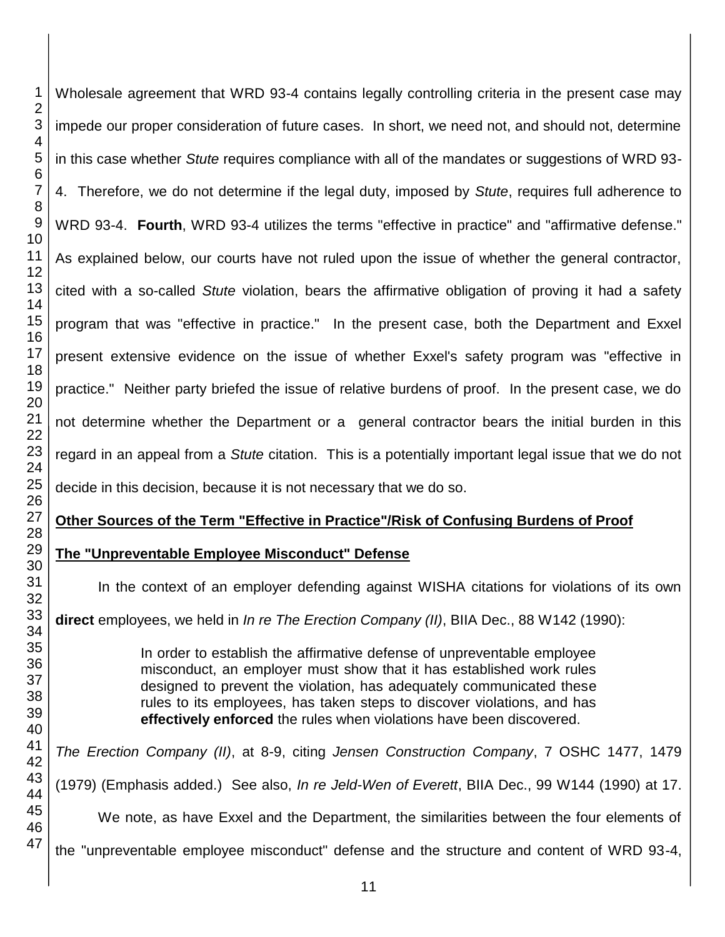Wholesale agreement that WRD 93-4 contains legally controlling criteria in the present case may impede our proper consideration of future cases. In short, we need not, and should not, determine in this case whether *Stute* requires compliance with all of the mandates or suggestions of WRD 93- 4. Therefore, we do not determine if the legal duty, imposed by *Stute*, requires full adherence to WRD 93-4. **Fourth**, WRD 93-4 utilizes the terms "effective in practice" and "affirmative defense." As explained below, our courts have not ruled upon the issue of whether the general contractor, cited with a so-called *Stute* violation, bears the affirmative obligation of proving it had a safety program that was "effective in practice." In the present case, both the Department and Exxel present extensive evidence on the issue of whether Exxel's safety program was "effective in practice." Neither party briefed the issue of relative burdens of proof. In the present case, we do not determine whether the Department or a general contractor bears the initial burden in this regard in an appeal from a *Stute* citation. This is a potentially important legal issue that we do not decide in this decision, because it is not necessary that we do so.

## **Other Sources of the Term "Effective in Practice"/Risk of Confusing Burdens of Proof**

**The "Unpreventable Employee Misconduct" Defense** 

In the context of an employer defending against WISHA citations for violations of its own

**direct** employees, we held in *In re The Erection Company (II)*, BIIA Dec., 88 W142 (1990):

In order to establish the affirmative defense of unpreventable employee misconduct, an employer must show that it has established work rules designed to prevent the violation, has adequately communicated these rules to its employees, has taken steps to discover violations, and has **effectively enforced** the rules when violations have been discovered.

*The Erection Company (II)*, at 8-9, citing *Jensen Construction Company*, 7 OSHC 1477, 1479 (1979) (Emphasis added.) See also, *In re Jeld-Wen of Everett*, BIIA Dec., 99 W144 (1990) at 17.

We note, as have Exxel and the Department, the similarities between the four elements of

the "unpreventable employee misconduct" defense and the structure and content of WRD 93-4,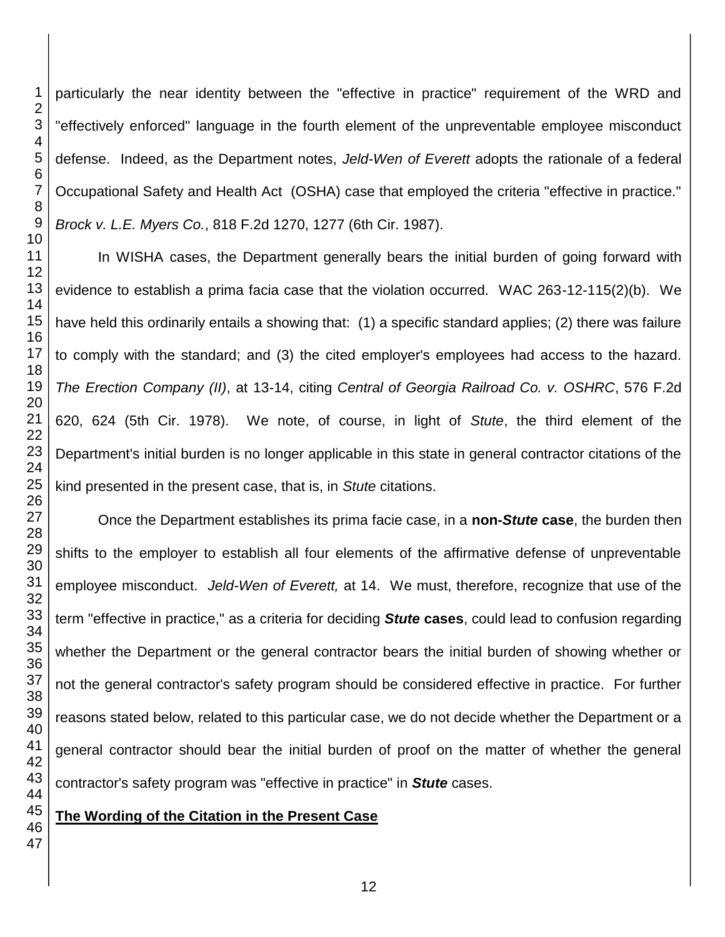particularly the near identity between the "effective in practice" requirement of the WRD and "effectively enforced" language in the fourth element of the unpreventable employee misconduct defense. Indeed, as the Department notes, *Jeld-Wen of Everett* adopts the rationale of a federal Occupational Safety and Health Act (OSHA) case that employed the criteria "effective in practice." *Brock v. L.E. Myers Co.*, 818 F.2d 1270, 1277 (6th Cir. 1987).

In WISHA cases, the Department generally bears the initial burden of going forward with evidence to establish a prima facia case that the violation occurred. WAC 263-12-115(2)(b). We have held this ordinarily entails a showing that: (1) a specific standard applies; (2) there was failure to comply with the standard; and (3) the cited employer's employees had access to the hazard. *The Erection Company (II)*, at 13-14, citing *Central of Georgia Railroad Co. v. OSHRC*, 576 F.2d 620, 624 (5th Cir. 1978). We note, of course, in light of *Stute*, the third element of the Department's initial burden is no longer applicable in this state in general contractor citations of the kind presented in the present case, that is, in *Stute* citations.

Once the Department establishes its prima facie case, in a **non-***Stute* **case**, the burden then shifts to the employer to establish all four elements of the affirmative defense of unpreventable employee misconduct. *Jeld-Wen of Everett,* at 14. We must, therefore, recognize that use of the term "effective in practice," as a criteria for deciding *Stute* **cases**, could lead to confusion regarding whether the Department or the general contractor bears the initial burden of showing whether or not the general contractor's safety program should be considered effective in practice. For further reasons stated below, related to this particular case, we do not decide whether the Department or a general contractor should bear the initial burden of proof on the matter of whether the general contractor's safety program was "effective in practice" in *Stute* cases.

**The Wording of the Citation in the Present Case**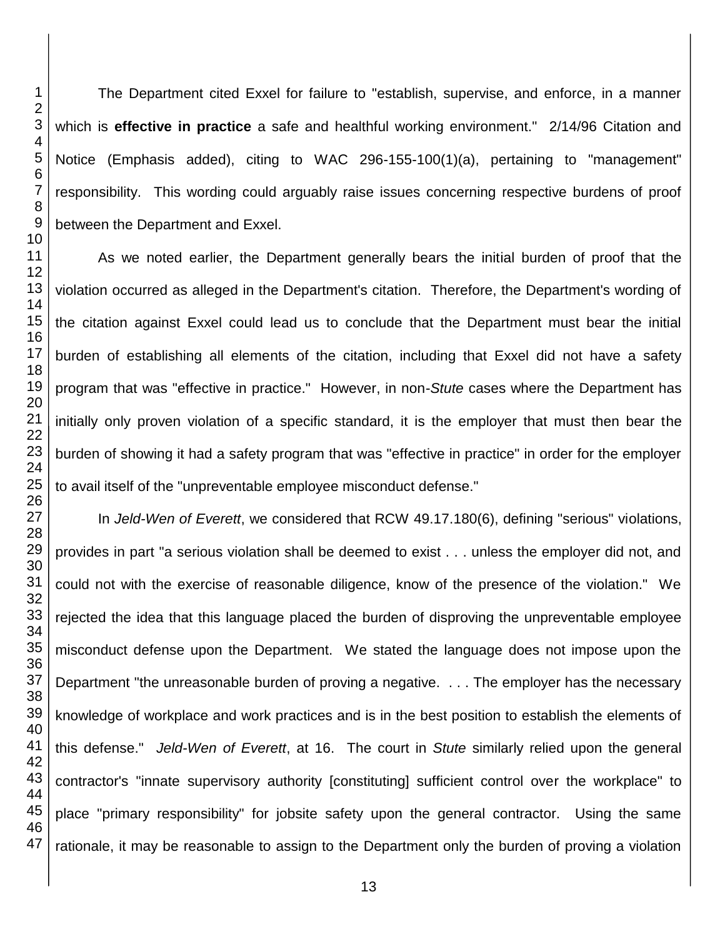The Department cited Exxel for failure to "establish, supervise, and enforce, in a manner which is **effective in practice** a safe and healthful working environment." 2/14/96 Citation and Notice (Emphasis added), citing to WAC 296-155-100(1)(a), pertaining to "management" responsibility. This wording could arguably raise issues concerning respective burdens of proof between the Department and Exxel.

As we noted earlier, the Department generally bears the initial burden of proof that the violation occurred as alleged in the Department's citation. Therefore, the Department's wording of the citation against Exxel could lead us to conclude that the Department must bear the initial burden of establishing all elements of the citation, including that Exxel did not have a safety program that was "effective in practice." However, in non-*Stute* cases where the Department has initially only proven violation of a specific standard, it is the employer that must then bear the burden of showing it had a safety program that was "effective in practice" in order for the employer to avail itself of the "unpreventable employee misconduct defense."

In *Jeld-Wen of Everett*, we considered that RCW 49.17.180(6), defining "serious" violations, provides in part "a serious violation shall be deemed to exist . . . unless the employer did not, and could not with the exercise of reasonable diligence, know of the presence of the violation." We rejected the idea that this language placed the burden of disproving the unpreventable employee misconduct defense upon the Department. We stated the language does not impose upon the Department "the unreasonable burden of proving a negative. . . . The employer has the necessary knowledge of workplace and work practices and is in the best position to establish the elements of this defense." *Jeld-Wen of Everett*, at 16. The court in *Stute* similarly relied upon the general contractor's "innate supervisory authority [constituting] sufficient control over the workplace" to place "primary responsibility" for jobsite safety upon the general contractor. Using the same rationale, it may be reasonable to assign to the Department only the burden of proving a violation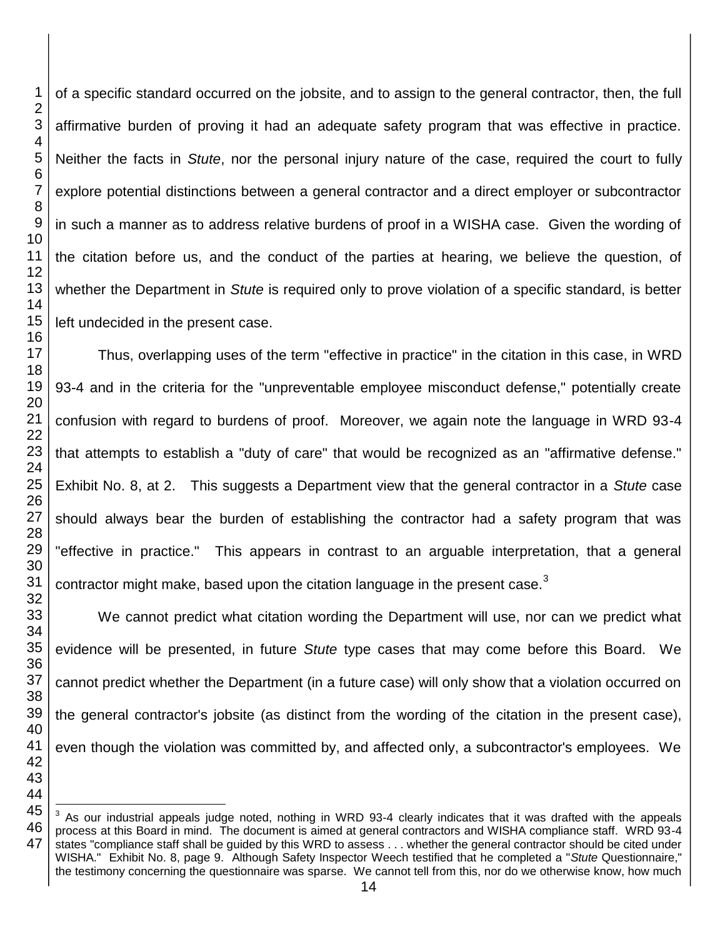of a specific standard occurred on the jobsite, and to assign to the general contractor, then, the full affirmative burden of proving it had an adequate safety program that was effective in practice. Neither the facts in *Stute*, nor the personal injury nature of the case, required the court to fully explore potential distinctions between a general contractor and a direct employer or subcontractor in such a manner as to address relative burdens of proof in a WISHA case. Given the wording of the citation before us, and the conduct of the parties at hearing, we believe the question, of whether the Department in *Stute* is required only to prove violation of a specific standard, is better left undecided in the present case.

Thus, overlapping uses of the term "effective in practice" in the citation in this case, in WRD 93-4 and in the criteria for the "unpreventable employee misconduct defense," potentially create confusion with regard to burdens of proof. Moreover, we again note the language in WRD 93-4 that attempts to establish a "duty of care" that would be recognized as an "affirmative defense." Exhibit No. 8, at 2. This suggests a Department view that the general contractor in a *Stute* case should always bear the burden of establishing the contractor had a safety program that was "effective in practice." This appears in contrast to an arguable interpretation, that a general contractor might make, based upon the citation language in the present case.

We cannot predict what citation wording the Department will use, nor can we predict what evidence will be presented, in future *Stute* type cases that may come before this Board. We cannot predict whether the Department (in a future case) will only show that a violation occurred on the general contractor's jobsite (as distinct from the wording of the citation in the present case), even though the violation was committed by, and affected only, a subcontractor's employees. We

l

 As our industrial appeals judge noted, nothing in WRD 93-4 clearly indicates that it was drafted with the appeals process at this Board in mind. The document is aimed at general contractors and WISHA compliance staff. WRD 93-4 states "compliance staff shall be guided by this WRD to assess . . . whether the general contractor should be cited under WISHA." Exhibit No. 8, page 9. Although Safety Inspector Weech testified that he completed a "*Stute* Questionnaire," the testimony concerning the questionnaire was sparse. We cannot tell from this, nor do we otherwise know, how much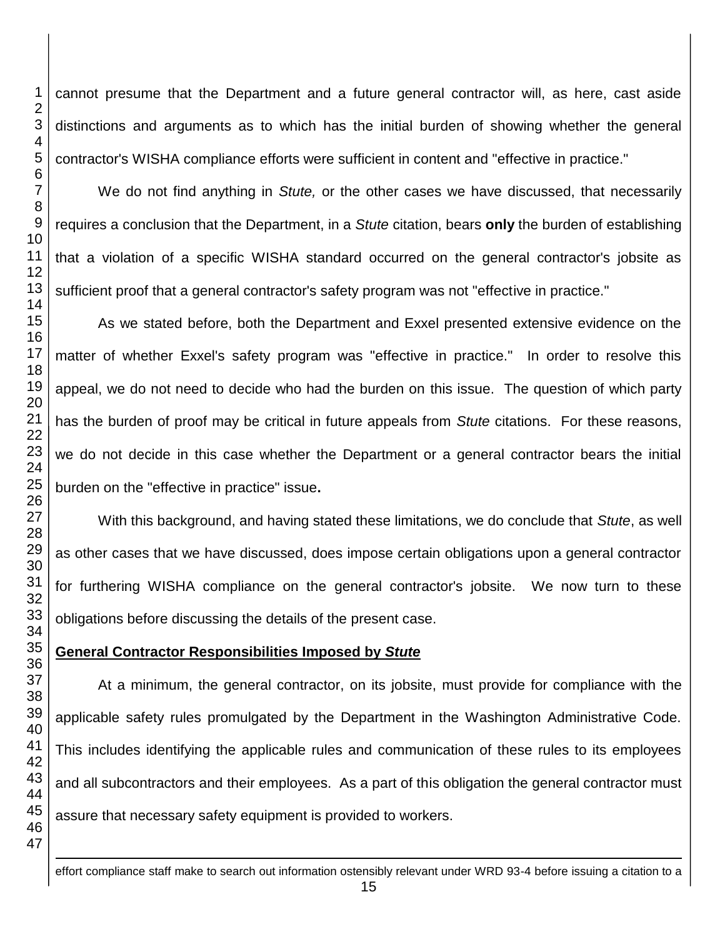cannot presume that the Department and a future general contractor will, as here, cast aside distinctions and arguments as to which has the initial burden of showing whether the general contractor's WISHA compliance efforts were sufficient in content and "effective in practice."

We do not find anything in *Stute,* or the other cases we have discussed, that necessarily requires a conclusion that the Department, in a *Stute* citation, bears **only** the burden of establishing that a violation of a specific WISHA standard occurred on the general contractor's jobsite as sufficient proof that a general contractor's safety program was not "effective in practice."

As we stated before, both the Department and Exxel presented extensive evidence on the matter of whether Exxel's safety program was "effective in practice." In order to resolve this appeal, we do not need to decide who had the burden on this issue. The question of which party has the burden of proof may be critical in future appeals from *Stute* citations. For these reasons, we do not decide in this case whether the Department or a general contractor bears the initial burden on the "effective in practice" issue**.**

With this background, and having stated these limitations, we do conclude that *Stute*, as well as other cases that we have discussed, does impose certain obligations upon a general contractor for furthering WISHA compliance on the general contractor's jobsite. We now turn to these obligations before discussing the details of the present case.

# **General Contractor Responsibilities Imposed by** *Stute*

At a minimum, the general contractor, on its jobsite, must provide for compliance with the applicable safety rules promulgated by the Department in the Washington Administrative Code. This includes identifying the applicable rules and communication of these rules to its employees and all subcontractors and their employees. As a part of this obligation the general contractor must assure that necessary safety equipment is provided to workers.

<u>.</u>

effort compliance staff make to search out information ostensibly relevant under WRD 93-4 before issuing a citation to a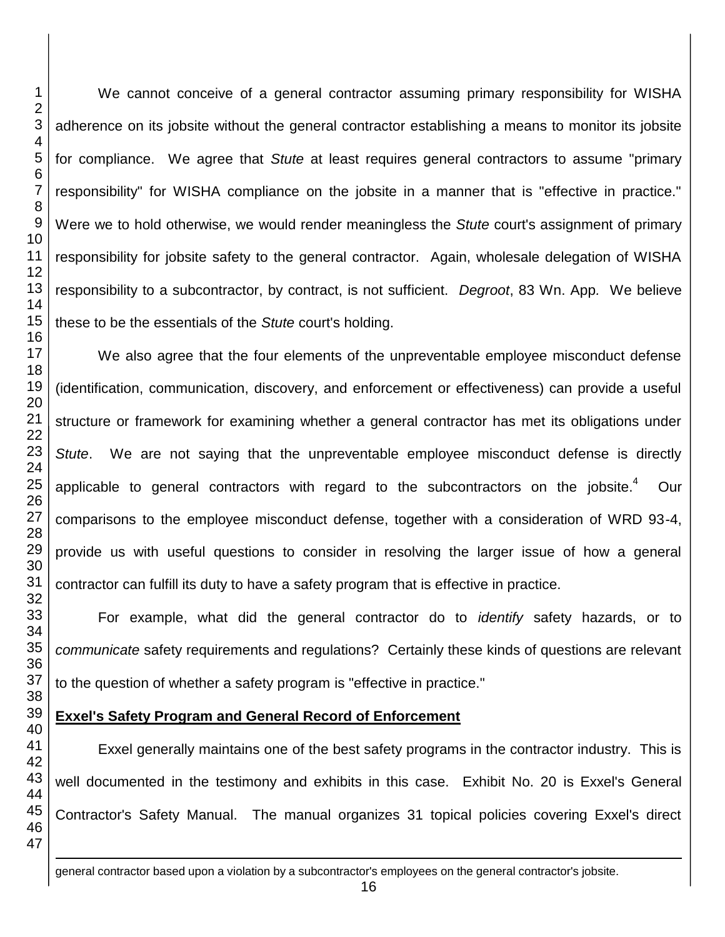<u>.</u>

We cannot conceive of a general contractor assuming primary responsibility for WISHA adherence on its jobsite without the general contractor establishing a means to monitor its jobsite for compliance. We agree that *Stute* at least requires general contractors to assume "primary responsibility" for WISHA compliance on the jobsite in a manner that is "effective in practice." Were we to hold otherwise, we would render meaningless the *Stute* court's assignment of primary responsibility for jobsite safety to the general contractor. Again, wholesale delegation of WISHA responsibility to a subcontractor, by contract, is not sufficient. *Degroot*, 83 Wn. App*.* We believe these to be the essentials of the *Stute* court's holding.

We also agree that the four elements of the unpreventable employee misconduct defense (identification, communication, discovery, and enforcement or effectiveness) can provide a useful structure or framework for examining whether a general contractor has met its obligations under *Stute*. We are not saying that the unpreventable employee misconduct defense is directly applicable to general contractors with regard to the subcontractors on the iobsite.<sup>4</sup> Our comparisons to the employee misconduct defense, together with a consideration of WRD 93-4, provide us with useful questions to consider in resolving the larger issue of how a general contractor can fulfill its duty to have a safety program that is effective in practice.

For example, what did the general contractor do to *identify* safety hazards, or to *communicate* safety requirements and regulations? Certainly these kinds of questions are relevant to the question of whether a safety program is "effective in practice."

## **Exxel's Safety Program and General Record of Enforcement**

Exxel generally maintains one of the best safety programs in the contractor industry. This is well documented in the testimony and exhibits in this case. Exhibit No. 20 is Exxel's General Contractor's Safety Manual. The manual organizes 31 topical policies covering Exxel's direct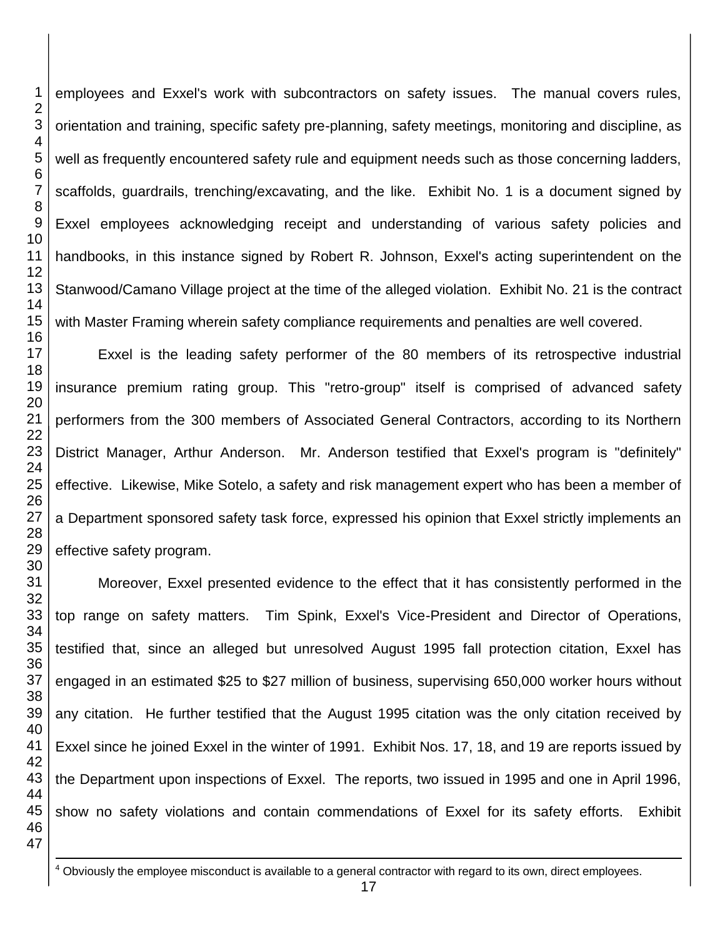employees and Exxel's work with subcontractors on safety issues. The manual covers rules, orientation and training, specific safety pre-planning, safety meetings, monitoring and discipline, as well as frequently encountered safety rule and equipment needs such as those concerning ladders, scaffolds, guardrails, trenching/excavating, and the like. Exhibit No. 1 is a document signed by Exxel employees acknowledging receipt and understanding of various safety policies and handbooks, in this instance signed by Robert R. Johnson, Exxel's acting superintendent on the Stanwood/Camano Village project at the time of the alleged violation. Exhibit No. 21 is the contract with Master Framing wherein safety compliance requirements and penalties are well covered.

Exxel is the leading safety performer of the 80 members of its retrospective industrial insurance premium rating group. This "retro-group" itself is comprised of advanced safety performers from the 300 members of Associated General Contractors, according to its Northern District Manager, Arthur Anderson. Mr. Anderson testified that Exxel's program is "definitely" effective. Likewise, Mike Sotelo, a safety and risk management expert who has been a member of a Department sponsored safety task force, expressed his opinion that Exxel strictly implements an effective safety program.

 Moreover, Exxel presented evidence to the effect that it has consistently performed in the top range on safety matters. Tim Spink, Exxel's Vice-President and Director of Operations, testified that, since an alleged but unresolved August 1995 fall protection citation, Exxel has engaged in an estimated \$25 to \$27 million of business, supervising 650,000 worker hours without any citation. He further testified that the August 1995 citation was the only citation received by Exxel since he joined Exxel in the winter of 1991. Exhibit Nos. 17, 18, and 19 are reports issued by the Department upon inspections of Exxel. The reports, two issued in 1995 and one in April 1996, show no safety violations and contain commendations of Exxel for its safety efforts. Exhibit

<u>.</u> Obviously the employee misconduct is available to a general contractor with regard to its own, direct employees.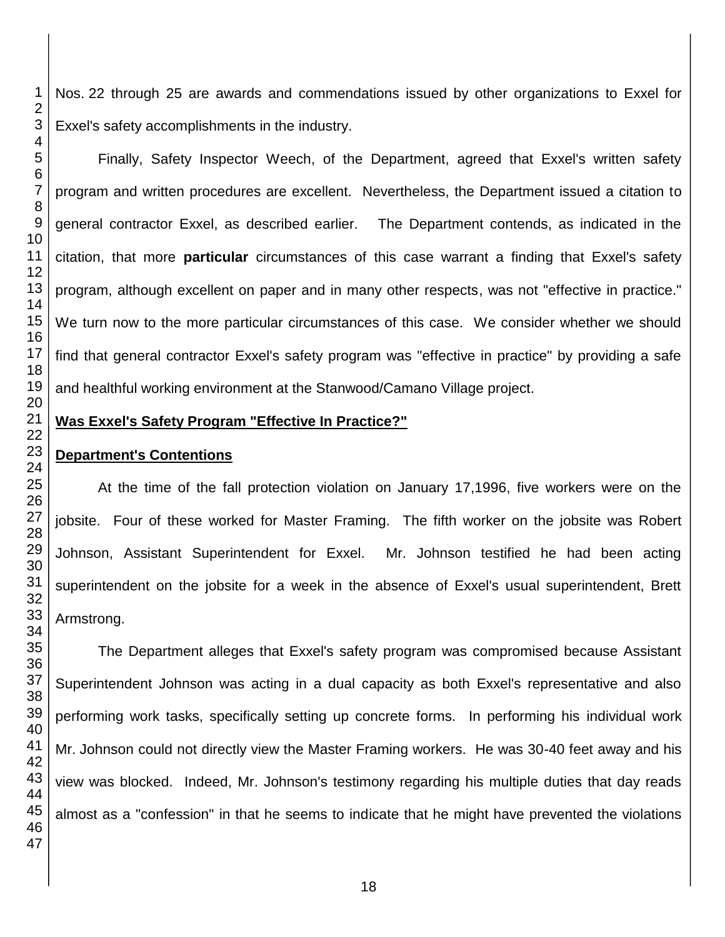Nos. 22 through 25 are awards and commendations issued by other organizations to Exxel for Exxel's safety accomplishments in the industry.

Finally, Safety Inspector Weech, of the Department, agreed that Exxel's written safety program and written procedures are excellent. Nevertheless, the Department issued a citation to general contractor Exxel, as described earlier. The Department contends, as indicated in the citation, that more **particular** circumstances of this case warrant a finding that Exxel's safety program, although excellent on paper and in many other respects, was not "effective in practice." We turn now to the more particular circumstances of this case. We consider whether we should find that general contractor Exxel's safety program was "effective in practice" by providing a safe and healthful working environment at the Stanwood/Camano Village project.

## **Was Exxel's Safety Program "Effective In Practice?"**

## **Department's Contentions**

At the time of the fall protection violation on January 17,1996, five workers were on the jobsite. Four of these worked for Master Framing. The fifth worker on the jobsite was Robert Johnson, Assistant Superintendent for Exxel. Mr. Johnson testified he had been acting superintendent on the jobsite for a week in the absence of Exxel's usual superintendent, Brett Armstrong.

The Department alleges that Exxel's safety program was compromised because Assistant Superintendent Johnson was acting in a dual capacity as both Exxel's representative and also performing work tasks, specifically setting up concrete forms. In performing his individual work Mr. Johnson could not directly view the Master Framing workers. He was 30-40 feet away and his view was blocked. Indeed, Mr. Johnson's testimony regarding his multiple duties that day reads almost as a "confession" in that he seems to indicate that he might have prevented the violations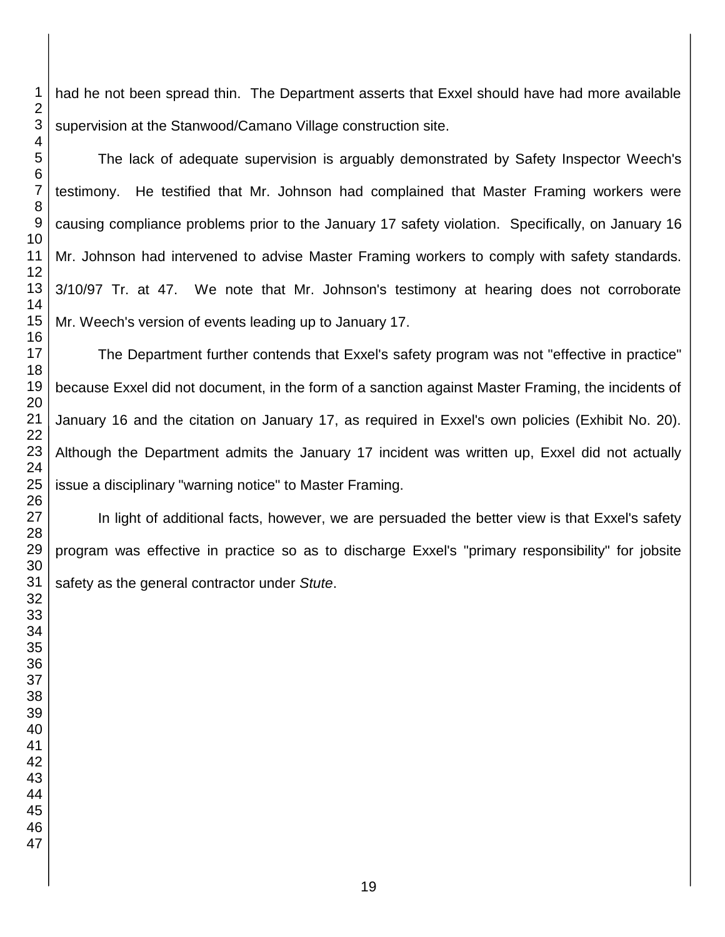had he not been spread thin. The Department asserts that Exxel should have had more available supervision at the Stanwood/Camano Village construction site.

The lack of adequate supervision is arguably demonstrated by Safety Inspector Weech's testimony. He testified that Mr. Johnson had complained that Master Framing workers were causing compliance problems prior to the January 17 safety violation. Specifically, on January 16 Mr. Johnson had intervened to advise Master Framing workers to comply with safety standards. 3/10/97 Tr. at 47. We note that Mr. Johnson's testimony at hearing does not corroborate Mr. Weech's version of events leading up to January 17.

The Department further contends that Exxel's safety program was not "effective in practice" because Exxel did not document, in the form of a sanction against Master Framing, the incidents of January 16 and the citation on January 17, as required in Exxel's own policies (Exhibit No. 20). Although the Department admits the January 17 incident was written up, Exxel did not actually issue a disciplinary "warning notice" to Master Framing.

In light of additional facts, however, we are persuaded the better view is that Exxel's safety program was effective in practice so as to discharge Exxel's "primary responsibility" for jobsite safety as the general contractor under *Stute*.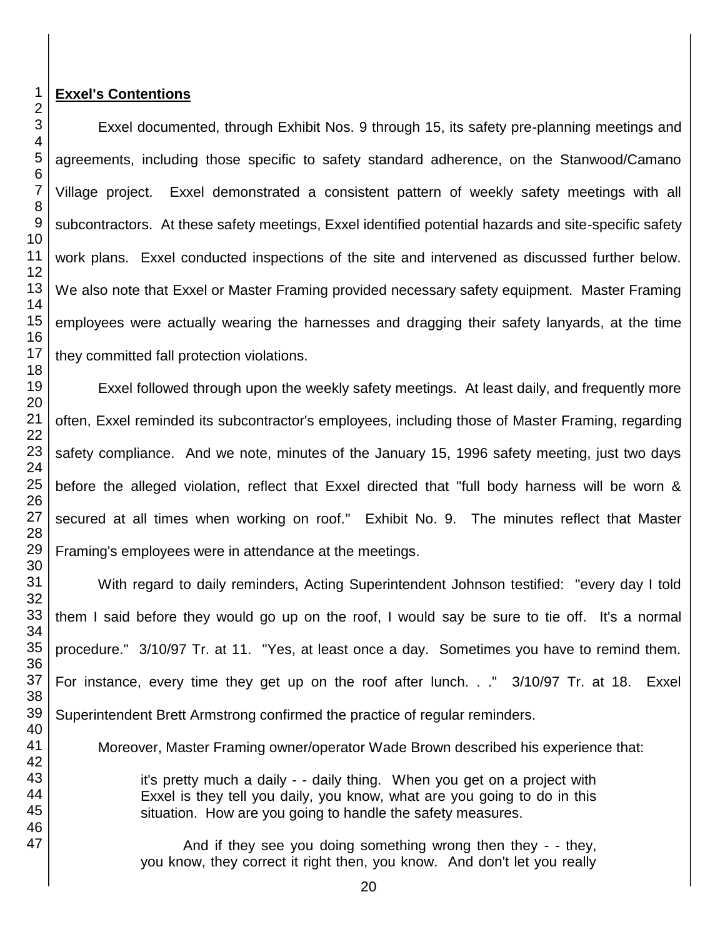## **Exxel's Contentions**

Exxel documented, through Exhibit Nos. 9 through 15, its safety pre-planning meetings and agreements, including those specific to safety standard adherence, on the Stanwood/Camano Village project. Exxel demonstrated a consistent pattern of weekly safety meetings with all subcontractors. At these safety meetings, Exxel identified potential hazards and site-specific safety work plans. Exxel conducted inspections of the site and intervened as discussed further below. We also note that Exxel or Master Framing provided necessary safety equipment. Master Framing employees were actually wearing the harnesses and dragging their safety lanyards, at the time they committed fall protection violations.

Exxel followed through upon the weekly safety meetings. At least daily, and frequently more often, Exxel reminded its subcontractor's employees, including those of Master Framing, regarding safety compliance. And we note, minutes of the January 15, 1996 safety meeting, just two days before the alleged violation, reflect that Exxel directed that "full body harness will be worn & secured at all times when working on roof." Exhibit No. 9. The minutes reflect that Master Framing's employees were in attendance at the meetings.

With regard to daily reminders, Acting Superintendent Johnson testified: "every day I told them I said before they would go up on the roof, I would say be sure to tie off. It's a normal procedure." 3/10/97 Tr. at 11. "Yes, at least once a day. Sometimes you have to remind them. For instance, every time they get up on the roof after lunch. . ." 3/10/97 Tr. at 18. Exxel Superintendent Brett Armstrong confirmed the practice of regular reminders.

Moreover, Master Framing owner/operator Wade Brown described his experience that:

it's pretty much a daily - - daily thing. When you get on a project with Exxel is they tell you daily, you know, what are you going to do in this situation. How are you going to handle the safety measures.

And if they see you doing something wrong then they - - they, you know, they correct it right then, you know. And don't let you really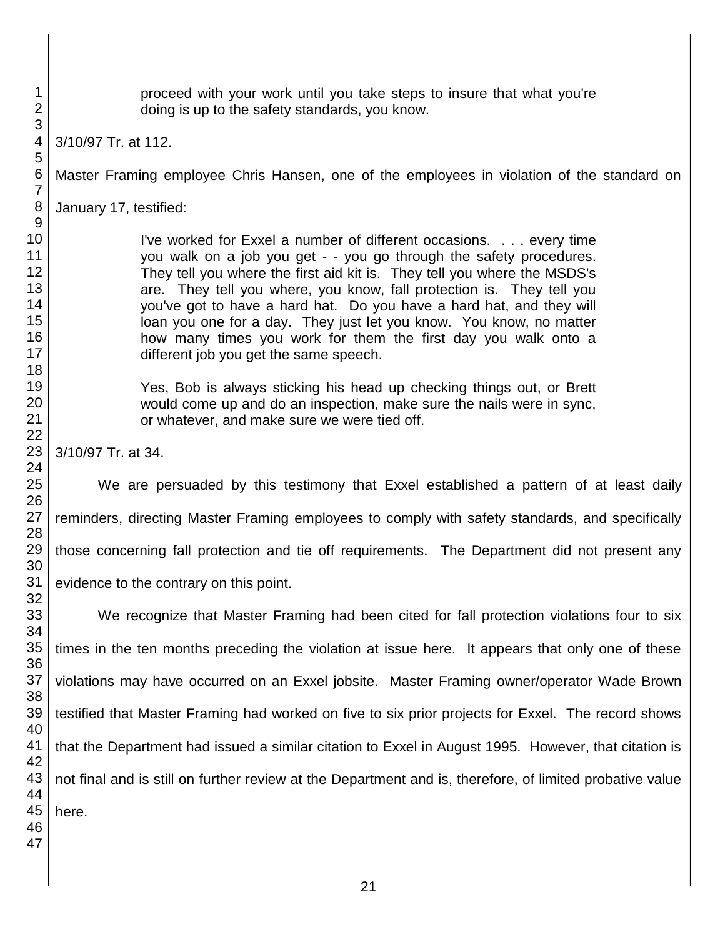proceed with your work until you take steps to insure that what you're doing is up to the safety standards, you know.

3/10/97 Tr. at 112.

Master Framing employee Chris Hansen, one of the employees in violation of the standard on

January 17, testified:

I've worked for Exxel a number of different occasions. . . . every time you walk on a job you get - - you go through the safety procedures. They tell you where the first aid kit is. They tell you where the MSDS's are. They tell you where, you know, fall protection is. They tell you you've got to have a hard hat. Do you have a hard hat, and they will loan you one for a day. They just let you know. You know, no matter how many times you work for them the first day you walk onto a different job you get the same speech.

Yes, Bob is always sticking his head up checking things out, or Brett would come up and do an inspection, make sure the nails were in sync, or whatever, and make sure we were tied off.

3/10/97 Tr. at 34.

We are persuaded by this testimony that Exxel established a pattern of at least daily reminders, directing Master Framing employees to comply with safety standards, and specifically those concerning fall protection and tie off requirements. The Department did not present any evidence to the contrary on this point.

We recognize that Master Framing had been cited for fall protection violations four to six times in the ten months preceding the violation at issue here. It appears that only one of these violations may have occurred on an Exxel jobsite. Master Framing owner/operator Wade Brown testified that Master Framing had worked on five to six prior projects for Exxel. The record shows that the Department had issued a similar citation to Exxel in August 1995. However, that citation is not final and is still on further review at the Department and is, therefore, of limited probative value here.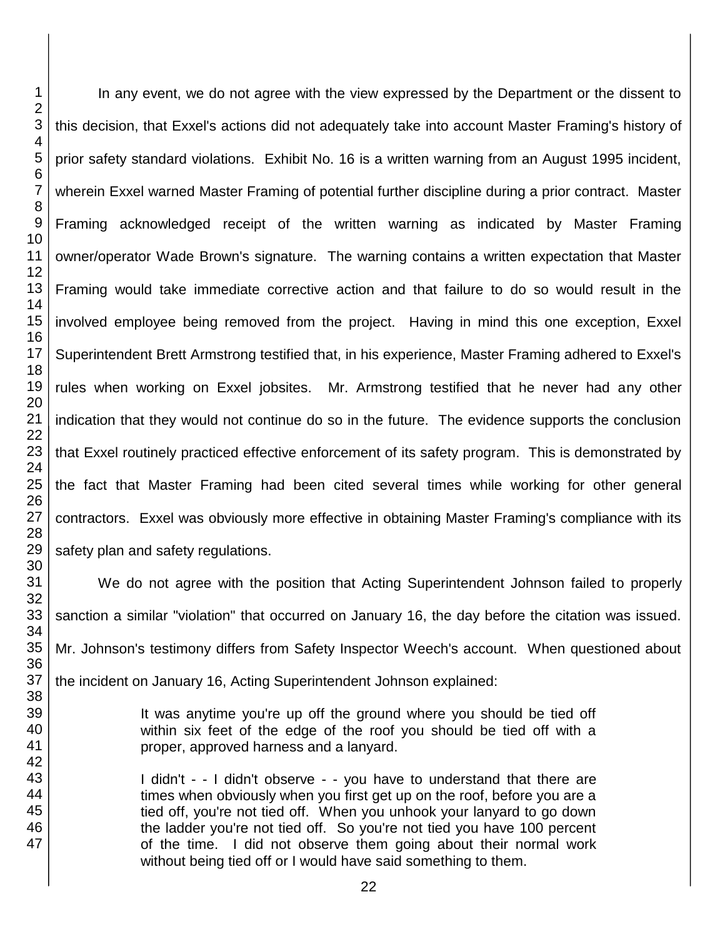In any event, we do not agree with the view expressed by the Department or the dissent to this decision, that Exxel's actions did not adequately take into account Master Framing's history of prior safety standard violations. Exhibit No. 16 is a written warning from an August 1995 incident, wherein Exxel warned Master Framing of potential further discipline during a prior contract. Master Framing acknowledged receipt of the written warning as indicated by Master Framing owner/operator Wade Brown's signature. The warning contains a written expectation that Master Framing would take immediate corrective action and that failure to do so would result in the involved employee being removed from the project. Having in mind this one exception, Exxel Superintendent Brett Armstrong testified that, in his experience, Master Framing adhered to Exxel's rules when working on Exxel jobsites. Mr. Armstrong testified that he never had any other indication that they would not continue do so in the future. The evidence supports the conclusion that Exxel routinely practiced effective enforcement of its safety program. This is demonstrated by the fact that Master Framing had been cited several times while working for other general contractors. Exxel was obviously more effective in obtaining Master Framing's compliance with its safety plan and safety regulations.

We do not agree with the position that Acting Superintendent Johnson failed to properly sanction a similar "violation" that occurred on January 16, the day before the citation was issued. Mr. Johnson's testimony differs from Safety Inspector Weech's account. When questioned about the incident on January 16, Acting Superintendent Johnson explained:

> It was anytime you're up off the ground where you should be tied off within six feet of the edge of the roof you should be tied off with a proper, approved harness and a lanyard.

I didn't - - I didn't observe - - you have to understand that there are times when obviously when you first get up on the roof, before you are a tied off, you're not tied off. When you unhook your lanyard to go down the ladder you're not tied off. So you're not tied you have 100 percent of the time. I did not observe them going about their normal work without being tied off or I would have said something to them.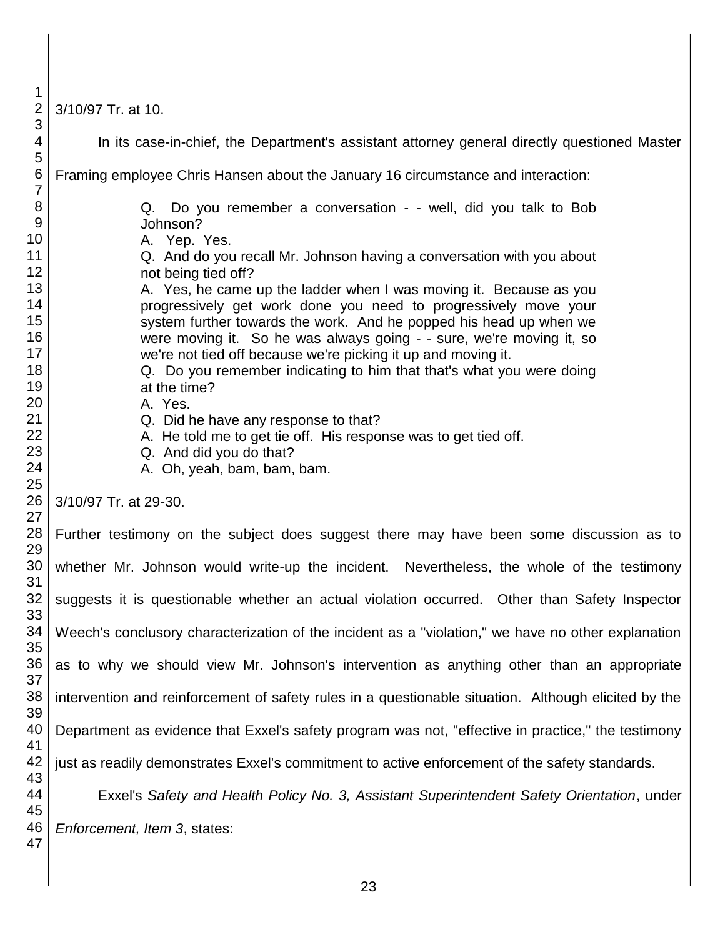3/10/97 Tr. at 10.

| 3                   |                                                                                                      |
|---------------------|------------------------------------------------------------------------------------------------------|
| 4                   | In its case-in-chief, the Department's assistant attorney general directly questioned Master         |
| 5                   |                                                                                                      |
| 6<br>$\overline{7}$ | Framing employee Chris Hansen about the January 16 circumstance and interaction:                     |
| 8                   | Q. Do you remember a conversation - - well, did you talk to Bob                                      |
| $9\,$               | Johnson?                                                                                             |
| 10                  | A. Yep. Yes.                                                                                         |
| 11                  | Q. And do you recall Mr. Johnson having a conversation with you about                                |
| 12                  | not being tied off?                                                                                  |
| 13                  | A. Yes, he came up the ladder when I was moving it. Because as you                                   |
| 14                  | progressively get work done you need to progressively move your                                      |
| 15                  | system further towards the work. And he popped his head up when we                                   |
| 16                  | were moving it. So he was always going - - sure, we're moving it, so                                 |
| 17                  | we're not tied off because we're picking it up and moving it.                                        |
| 18                  | Q. Do you remember indicating to him that that's what you were doing                                 |
| 19                  | at the time?                                                                                         |
| 20                  | A. Yes.                                                                                              |
| 21                  | Q. Did he have any response to that?                                                                 |
| 22                  | A. He told me to get tie off. His response was to get tied off.                                      |
| 23                  | Q. And did you do that?                                                                              |
| 24                  | A. Oh, yeah, bam, bam, bam.                                                                          |
| 25                  |                                                                                                      |
| 26                  | 3/10/97 Tr. at 29-30.                                                                                |
| 27                  |                                                                                                      |
| 28<br>29            | Further testimony on the subject does suggest there may have been some discussion as to              |
| 30                  | whether Mr. Johnson would write-up the incident. Nevertheless, the whole of the testimony            |
| 31                  |                                                                                                      |
| 32                  | suggests it is questionable whether an actual violation occurred. Other than Safety Inspector        |
| 33                  |                                                                                                      |
| 34                  | Weech's conclusory characterization of the incident as a "violation," we have no other explanation   |
| 35                  |                                                                                                      |
| 36                  | as to why we should view Mr. Johnson's intervention as anything other than an appropriate            |
| 37                  |                                                                                                      |
| 38                  | intervention and reinforcement of safety rules in a questionable situation. Although elicited by the |
| 39                  |                                                                                                      |
| 40                  | Department as evidence that Exxel's safety program was not, "effective in practice," the testimony   |
| 41                  |                                                                                                      |
| 42                  | just as readily demonstrates Exxel's commitment to active enforcement of the safety standards.       |
| 43                  |                                                                                                      |
| 44<br>45            | Exxel's Safety and Health Policy No. 3, Assistant Superintendent Safety Orientation, under           |
| 46                  |                                                                                                      |
| 47                  | Enforcement, Item 3, states:                                                                         |
|                     |                                                                                                      |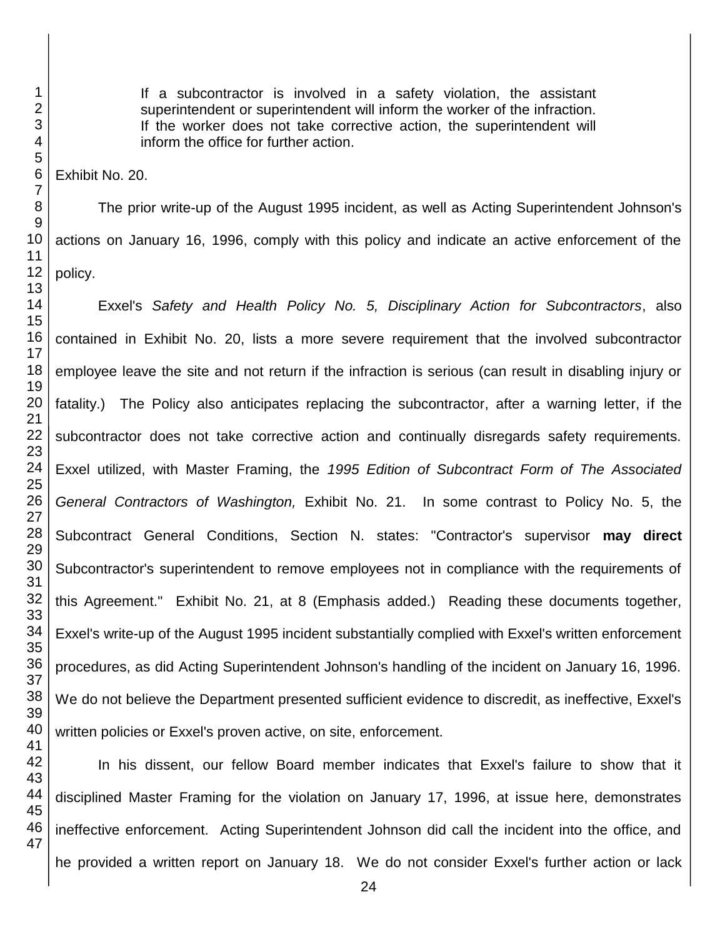If a subcontractor is involved in a safety violation, the assistant superintendent or superintendent will inform the worker of the infraction. If the worker does not take corrective action, the superintendent will inform the office for further action.

Exhibit No. 20.

The prior write-up of the August 1995 incident, as well as Acting Superintendent Johnson's actions on January 16, 1996, comply with this policy and indicate an active enforcement of the policy.

Exxel's *Safety and Health Policy No. 5, Disciplinary Action for Subcontractors*, also contained in Exhibit No. 20, lists a more severe requirement that the involved subcontractor employee leave the site and not return if the infraction is serious (can result in disabling injury or fatality.) The Policy also anticipates replacing the subcontractor, after a warning letter, if the subcontractor does not take corrective action and continually disregards safety requirements. Exxel utilized, with Master Framing, the *1995 Edition of Subcontract Form of The Associated General Contractors of Washington,* Exhibit No. 21. In some contrast to Policy No. 5, the Subcontract General Conditions, Section N. states: "Contractor's supervisor **may direct** Subcontractor's superintendent to remove employees not in compliance with the requirements of this Agreement." Exhibit No. 21, at 8 (Emphasis added.) Reading these documents together, Exxel's write-up of the August 1995 incident substantially complied with Exxel's written enforcement procedures, as did Acting Superintendent Johnson's handling of the incident on January 16, 1996. We do not believe the Department presented sufficient evidence to discredit, as ineffective, Exxel's written policies or Exxel's proven active, on site, enforcement.

In his dissent, our fellow Board member indicates that Exxel's failure to show that it disciplined Master Framing for the violation on January 17, 1996, at issue here, demonstrates ineffective enforcement. Acting Superintendent Johnson did call the incident into the office, and he provided a written report on January 18. We do not consider Exxel's further action or lack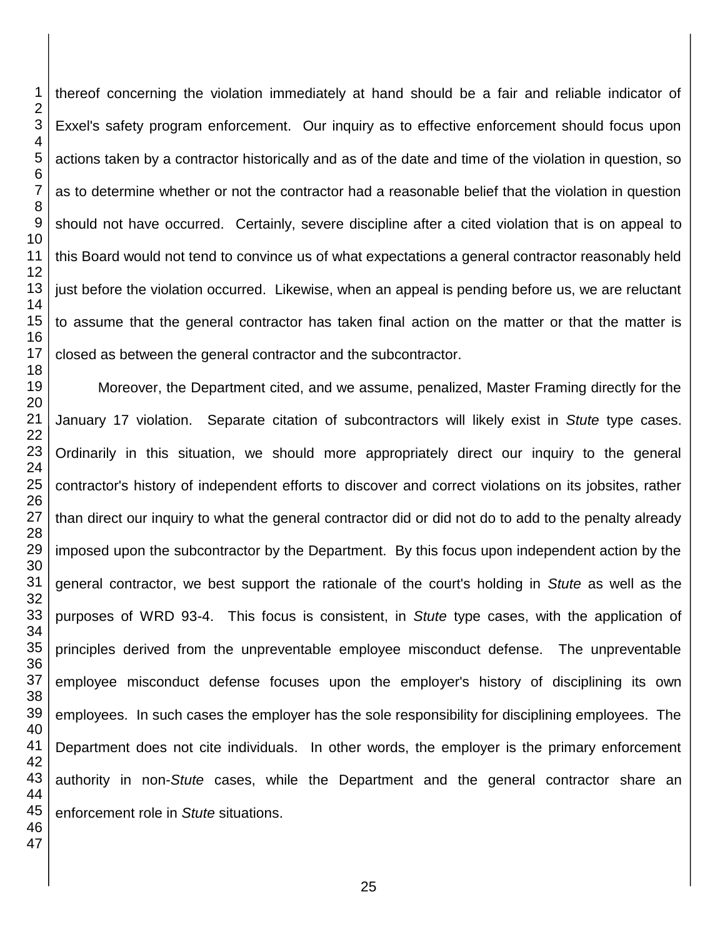thereof concerning the violation immediately at hand should be a fair and reliable indicator of Exxel's safety program enforcement. Our inquiry as to effective enforcement should focus upon actions taken by a contractor historically and as of the date and time of the violation in question, so as to determine whether or not the contractor had a reasonable belief that the violation in question should not have occurred. Certainly, severe discipline after a cited violation that is on appeal to this Board would not tend to convince us of what expectations a general contractor reasonably held just before the violation occurred. Likewise, when an appeal is pending before us, we are reluctant to assume that the general contractor has taken final action on the matter or that the matter is closed as between the general contractor and the subcontractor.

Moreover, the Department cited, and we assume, penalized, Master Framing directly for the January 17 violation. Separate citation of subcontractors will likely exist in *Stute* type cases. Ordinarily in this situation, we should more appropriately direct our inquiry to the general contractor's history of independent efforts to discover and correct violations on its jobsites, rather than direct our inquiry to what the general contractor did or did not do to add to the penalty already imposed upon the subcontractor by the Department. By this focus upon independent action by the general contractor, we best support the rationale of the court's holding in *Stute* as well as the purposes of WRD 93-4. This focus is consistent, in *Stute* type cases, with the application of principles derived from the unpreventable employee misconduct defense. The unpreventable employee misconduct defense focuses upon the employer's history of disciplining its own employees. In such cases the employer has the sole responsibility for disciplining employees. The Department does not cite individuals. In other words, the employer is the primary enforcement authority in non-*Stute* cases, while the Department and the general contractor share an enforcement role in *Stute* situations.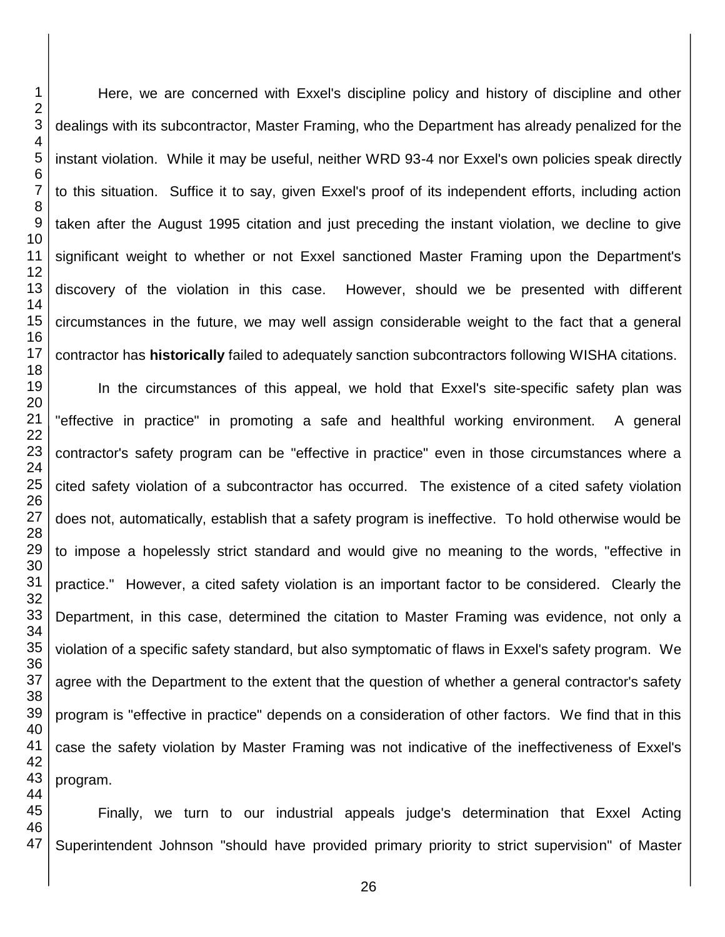Here, we are concerned with Exxel's discipline policy and history of discipline and other dealings with its subcontractor, Master Framing, who the Department has already penalized for the instant violation. While it may be useful, neither WRD 93-4 nor Exxel's own policies speak directly to this situation. Suffice it to say, given Exxel's proof of its independent efforts, including action taken after the August 1995 citation and just preceding the instant violation, we decline to give significant weight to whether or not Exxel sanctioned Master Framing upon the Department's discovery of the violation in this case. However, should we be presented with different circumstances in the future, we may well assign considerable weight to the fact that a general contractor has **historically** failed to adequately sanction subcontractors following WISHA citations.

In the circumstances of this appeal, we hold that Exxel's site-specific safety plan was "effective in practice" in promoting a safe and healthful working environment. A general contractor's safety program can be "effective in practice" even in those circumstances where a cited safety violation of a subcontractor has occurred. The existence of a cited safety violation does not, automatically, establish that a safety program is ineffective. To hold otherwise would be to impose a hopelessly strict standard and would give no meaning to the words, "effective in practice." However, a cited safety violation is an important factor to be considered. Clearly the Department, in this case, determined the citation to Master Framing was evidence, not only a violation of a specific safety standard, but also symptomatic of flaws in Exxel's safety program. We agree with the Department to the extent that the question of whether a general contractor's safety program is "effective in practice" depends on a consideration of other factors. We find that in this case the safety violation by Master Framing was not indicative of the ineffectiveness of Exxel's program.

Finally, we turn to our industrial appeals judge's determination that Exxel Acting Superintendent Johnson "should have provided primary priority to strict supervision" of Master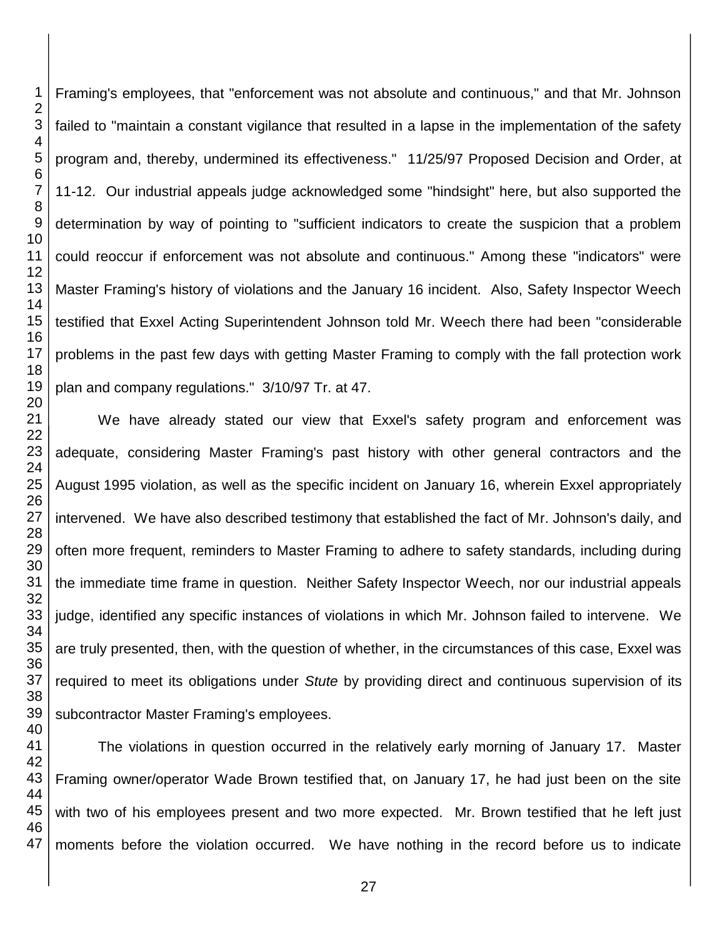Framing's employees, that "enforcement was not absolute and continuous," and that Mr. Johnson failed to "maintain a constant vigilance that resulted in a lapse in the implementation of the safety program and, thereby, undermined its effectiveness." 11/25/97 Proposed Decision and Order, at 11-12. Our industrial appeals judge acknowledged some "hindsight" here, but also supported the determination by way of pointing to "sufficient indicators to create the suspicion that a problem could reoccur if enforcement was not absolute and continuous." Among these "indicators" were Master Framing's history of violations and the January 16 incident. Also, Safety Inspector Weech testified that Exxel Acting Superintendent Johnson told Mr. Weech there had been "considerable problems in the past few days with getting Master Framing to comply with the fall protection work plan and company regulations." 3/10/97 Tr. at 47.

We have already stated our view that Exxel's safety program and enforcement was adequate, considering Master Framing's past history with other general contractors and the August 1995 violation, as well as the specific incident on January 16, wherein Exxel appropriately intervened. We have also described testimony that established the fact of Mr. Johnson's daily, and often more frequent, reminders to Master Framing to adhere to safety standards, including during the immediate time frame in question. Neither Safety Inspector Weech, nor our industrial appeals judge, identified any specific instances of violations in which Mr. Johnson failed to intervene. We are truly presented, then, with the question of whether, in the circumstances of this case, Exxel was required to meet its obligations under *Stute* by providing direct and continuous supervision of its subcontractor Master Framing's employees.

The violations in question occurred in the relatively early morning of January 17. Master Framing owner/operator Wade Brown testified that, on January 17, he had just been on the site with two of his employees present and two more expected. Mr. Brown testified that he left just moments before the violation occurred. We have nothing in the record before us to indicate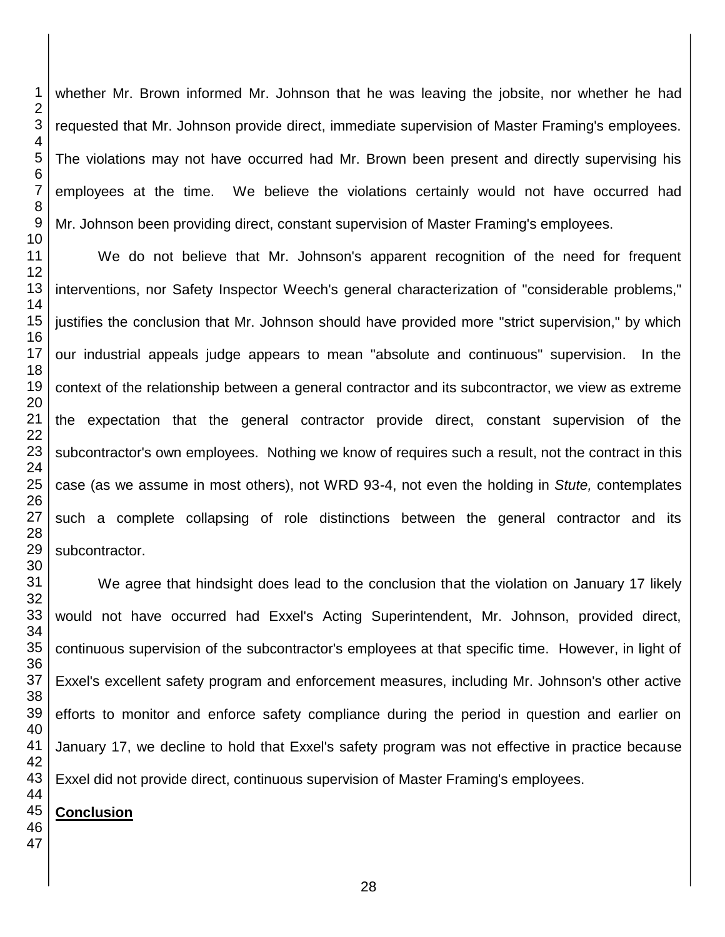whether Mr. Brown informed Mr. Johnson that he was leaving the jobsite, nor whether he had requested that Mr. Johnson provide direct, immediate supervision of Master Framing's employees. The violations may not have occurred had Mr. Brown been present and directly supervising his employees at the time. We believe the violations certainly would not have occurred had Mr. Johnson been providing direct, constant supervision of Master Framing's employees.

 We do not believe that Mr. Johnson's apparent recognition of the need for frequent interventions, nor Safety Inspector Weech's general characterization of "considerable problems," justifies the conclusion that Mr. Johnson should have provided more "strict supervision," by which our industrial appeals judge appears to mean "absolute and continuous" supervision. In the context of the relationship between a general contractor and its subcontractor, we view as extreme the expectation that the general contractor provide direct, constant supervision of the subcontractor's own employees. Nothing we know of requires such a result, not the contract in this case (as we assume in most others), not WRD 93-4, not even the holding in *Stute,* contemplates such a complete collapsing of role distinctions between the general contractor and its subcontractor.

 We agree that hindsight does lead to the conclusion that the violation on January 17 likely would not have occurred had Exxel's Acting Superintendent, Mr. Johnson, provided direct, continuous supervision of the subcontractor's employees at that specific time. However, in light of Exxel's excellent safety program and enforcement measures, including Mr. Johnson's other active efforts to monitor and enforce safety compliance during the period in question and earlier on January 17, we decline to hold that Exxel's safety program was not effective in practice because Exxel did not provide direct, continuous supervision of Master Framing's employees.

#### **Conclusion**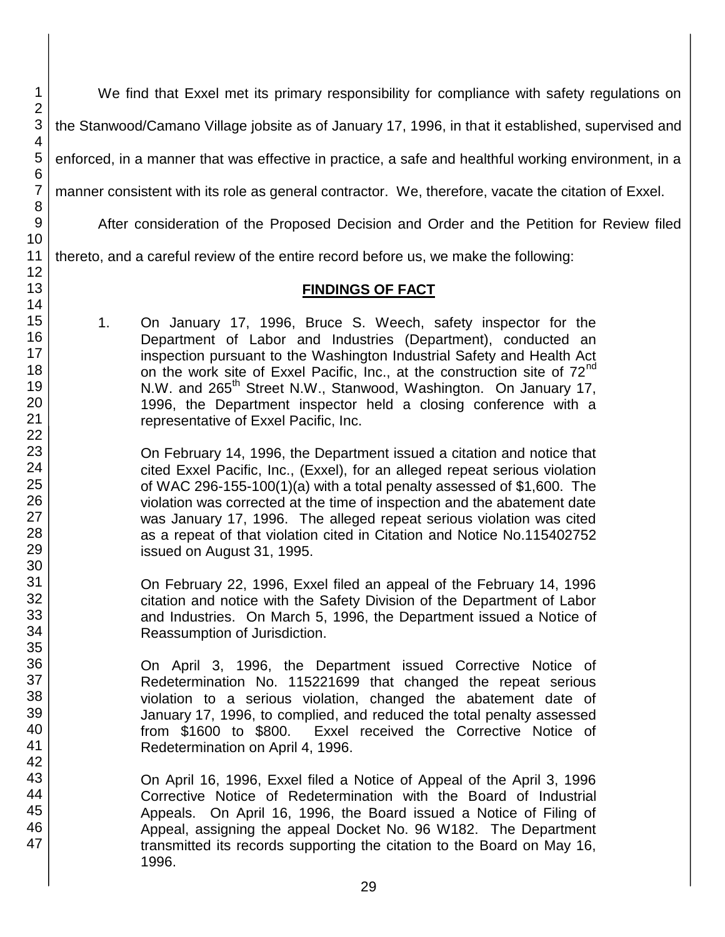We find that Exxel met its primary responsibility for compliance with safety regulations on

the Stanwood/Camano Village jobsite as of January 17, 1996, in that it established, supervised and

enforced, in a manner that was effective in practice, a safe and healthful working environment, in a

manner consistent with its role as general contractor. We, therefore, vacate the citation of Exxel.

After consideration of the Proposed Decision and Order and the Petition for Review filed

thereto, and a careful review of the entire record before us, we make the following:

#### **FINDINGS OF FACT**

1. On January 17, 1996, Bruce S. Weech, safety inspector for the Department of Labor and Industries (Department), conducted an inspection pursuant to the Washington Industrial Safety and Health Act on the work site of Exxel Pacific, Inc., at the construction site of 72<sup>nd</sup> N.W. and 265<sup>th</sup> Street N.W., Stanwood, Washington. On January 17, 1996, the Department inspector held a closing conference with a representative of Exxel Pacific, Inc.

On February 14, 1996, the Department issued a citation and notice that cited Exxel Pacific, Inc., (Exxel), for an alleged repeat serious violation of WAC 296-155-100(1)(a) with a total penalty assessed of \$1,600. The violation was corrected at the time of inspection and the abatement date was January 17, 1996. The alleged repeat serious violation was cited as a repeat of that violation cited in Citation and Notice No.115402752 issued on August 31, 1995.

On February 22, 1996, Exxel filed an appeal of the February 14, 1996 citation and notice with the Safety Division of the Department of Labor and Industries. On March 5, 1996, the Department issued a Notice of Reassumption of Jurisdiction.

On April 3, 1996, the Department issued Corrective Notice of Redetermination No. 115221699 that changed the repeat serious violation to a serious violation, changed the abatement date of January 17, 1996, to complied, and reduced the total penalty assessed Exxel received the Corrective Notice of Redetermination on April 4, 1996.

On April 16, 1996, Exxel filed a Notice of Appeal of the April 3, 1996 Corrective Notice of Redetermination with the Board of Industrial Appeals. On April 16, 1996, the Board issued a Notice of Filing of Appeal, assigning the appeal Docket No. 96 W182. The Department transmitted its records supporting the citation to the Board on May 16, 1996.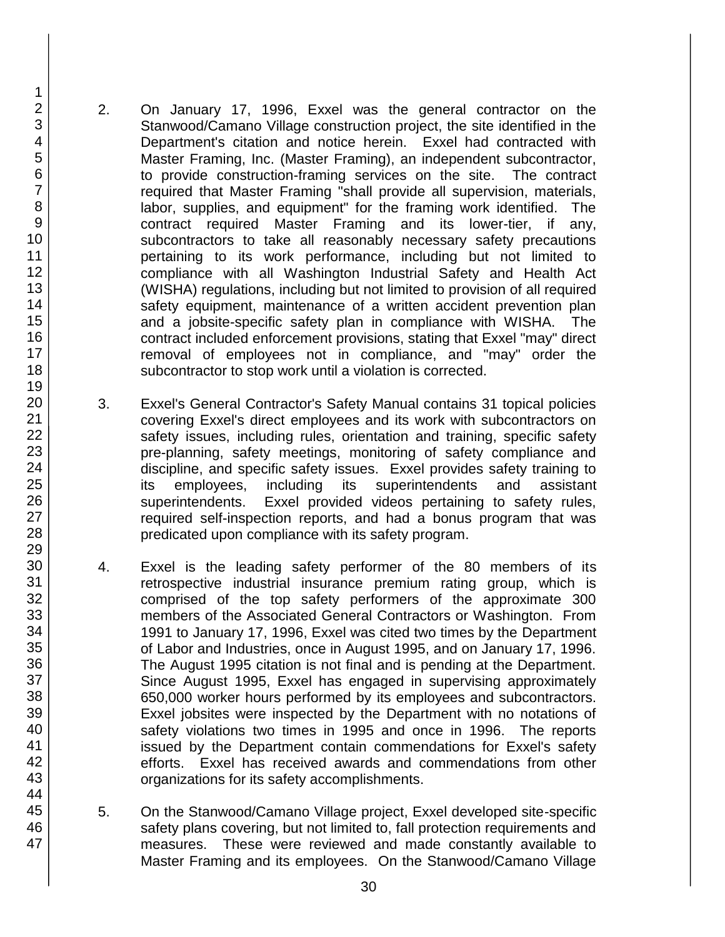2. On January 17, 1996, Exxel was the general contractor on the Stanwood/Camano Village construction project, the site identified in the Department's citation and notice herein. Exxel had contracted with Master Framing, Inc. (Master Framing), an independent subcontractor, to provide construction-framing services on the site. The contract required that Master Framing "shall provide all supervision, materials, labor, supplies, and equipment" for the framing work identified. The contract required Master Framing and its lower-tier, if any, subcontractors to take all reasonably necessary safety precautions pertaining to its work performance, including but not limited to compliance with all Washington Industrial Safety and Health Act (WISHA) regulations, including but not limited to provision of all required safety equipment, maintenance of a written accident prevention plan and a jobsite-specific safety plan in compliance with WISHA. The contract included enforcement provisions, stating that Exxel "may" direct removal of employees not in compliance, and "may" order the subcontractor to stop work until a violation is corrected.

- 3. Exxel's General Contractor's Safety Manual contains 31 topical policies covering Exxel's direct employees and its work with subcontractors on safety issues, including rules, orientation and training, specific safety pre-planning, safety meetings, monitoring of safety compliance and discipline, and specific safety issues. Exxel provides safety training to its employees, including its superintendents and assistant superintendents. Exxel provided videos pertaining to safety rules, required self-inspection reports, and had a bonus program that was predicated upon compliance with its safety program.
- 4. Exxel is the leading safety performer of the 80 members of its retrospective industrial insurance premium rating group, which is comprised of the top safety performers of the approximate 300 members of the Associated General Contractors or Washington. From 1991 to January 17, 1996, Exxel was cited two times by the Department of Labor and Industries, once in August 1995, and on January 17, 1996. The August 1995 citation is not final and is pending at the Department. Since August 1995, Exxel has engaged in supervising approximately 650,000 worker hours performed by its employees and subcontractors. Exxel jobsites were inspected by the Department with no notations of safety violations two times in 1995 and once in 1996. The reports issued by the Department contain commendations for Exxel's safety efforts. Exxel has received awards and commendations from other organizations for its safety accomplishments.
- 5. On the Stanwood/Camano Village project, Exxel developed site-specific safety plans covering, but not limited to, fall protection requirements and measures. These were reviewed and made constantly available to Master Framing and its employees. On the Stanwood/Camano Village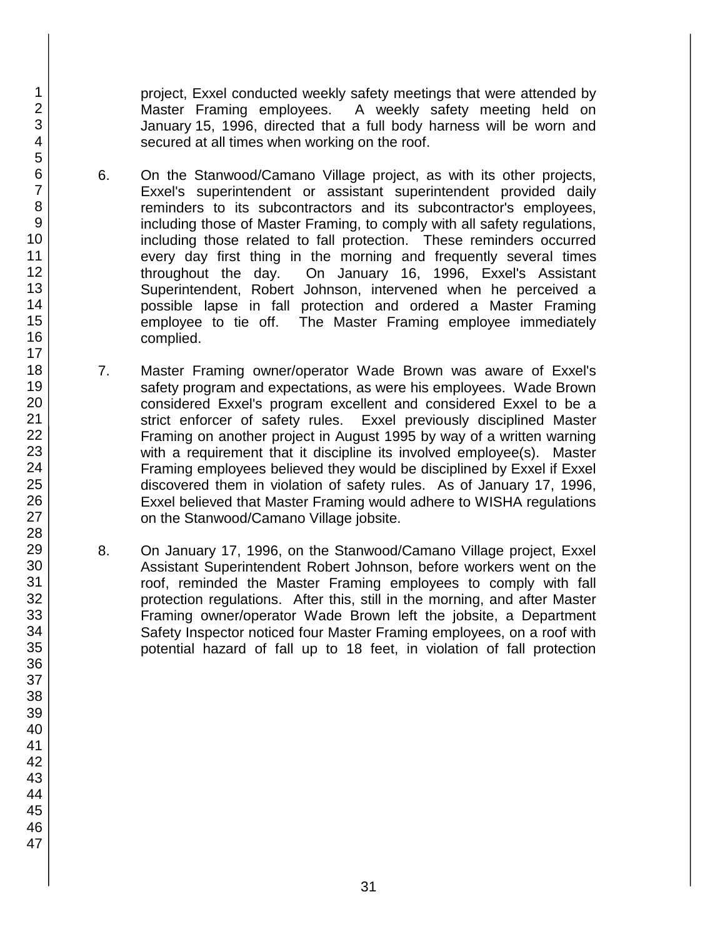project, Exxel conducted weekly safety meetings that were attended by Master Framing employees. A weekly safety meeting held on January 15, 1996, directed that a full body harness will be worn and secured at all times when working on the roof.

- 6. On the Stanwood/Camano Village project, as with its other projects, Exxel's superintendent or assistant superintendent provided daily reminders to its subcontractors and its subcontractor's employees, including those of Master Framing, to comply with all safety regulations, including those related to fall protection. These reminders occurred every day first thing in the morning and frequently several times throughout the day. On January 16, 1996, Exxel's Assistant Superintendent, Robert Johnson, intervened when he perceived a possible lapse in fall protection and ordered a Master Framing employee to tie off. The Master Framing employee immediately complied.
- 7. Master Framing owner/operator Wade Brown was aware of Exxel's safety program and expectations, as were his employees. Wade Brown considered Exxel's program excellent and considered Exxel to be a strict enforcer of safety rules. Exxel previously disciplined Master Framing on another project in August 1995 by way of a written warning with a requirement that it discipline its involved employee(s). Master Framing employees believed they would be disciplined by Exxel if Exxel discovered them in violation of safety rules. As of January 17, 1996, Exxel believed that Master Framing would adhere to WISHA regulations on the Stanwood/Camano Village jobsite.
- 8. On January 17, 1996, on the Stanwood/Camano Village project, Exxel Assistant Superintendent Robert Johnson, before workers went on the roof, reminded the Master Framing employees to comply with fall protection regulations. After this, still in the morning, and after Master Framing owner/operator Wade Brown left the jobsite, a Department Safety Inspector noticed four Master Framing employees, on a roof with potential hazard of fall up to 18 feet, in violation of fall protection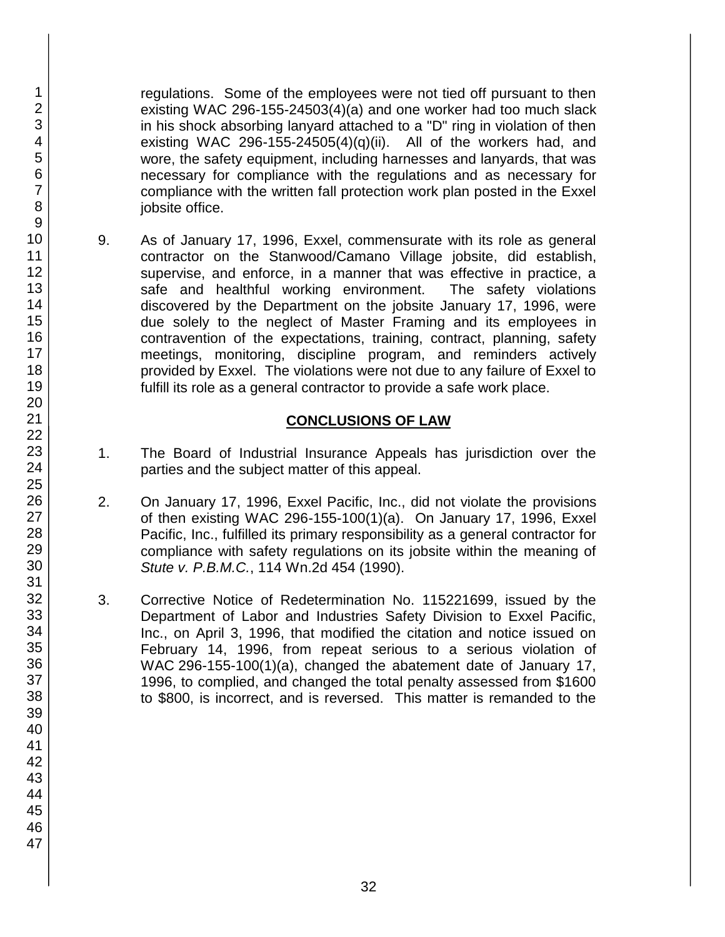regulations. Some of the employees were not tied off pursuant to then existing WAC 296-155-24503(4)(a) and one worker had too much slack in his shock absorbing lanyard attached to a "D" ring in violation of then existing WAC 296-155-24505(4)(q)(ii). All of the workers had, and wore, the safety equipment, including harnesses and lanyards, that was necessary for compliance with the regulations and as necessary for compliance with the written fall protection work plan posted in the Exxel jobsite office.

9. As of January 17, 1996, Exxel, commensurate with its role as general contractor on the Stanwood/Camano Village jobsite, did establish, supervise, and enforce, in a manner that was effective in practice, a safe and healthful working environment. The safety violations discovered by the Department on the jobsite January 17, 1996, were due solely to the neglect of Master Framing and its employees in contravention of the expectations, training, contract, planning, safety meetings, monitoring, discipline program, and reminders actively provided by Exxel. The violations were not due to any failure of Exxel to fulfill its role as a general contractor to provide a safe work place.

## **CONCLUSIONS OF LAW**

- 1. The Board of Industrial Insurance Appeals has jurisdiction over the parties and the subject matter of this appeal.
- 2. On January 17, 1996, Exxel Pacific, Inc., did not violate the provisions of then existing WAC 296-155-100(1)(a). On January 17, 1996, Exxel Pacific, Inc., fulfilled its primary responsibility as a general contractor for compliance with safety regulations on its jobsite within the meaning of *Stute v. P.B.M.C.*, 114 Wn.2d 454 (1990).
- 3. Corrective Notice of Redetermination No. 115221699, issued by the Department of Labor and Industries Safety Division to Exxel Pacific, Inc., on April 3, 1996, that modified the citation and notice issued on February 14, 1996, from repeat serious to a serious violation of WAC 296-155-100(1)(a), changed the abatement date of January 17, 1996, to complied, and changed the total penalty assessed from \$1600 to \$800, is incorrect, and is reversed. This matter is remanded to the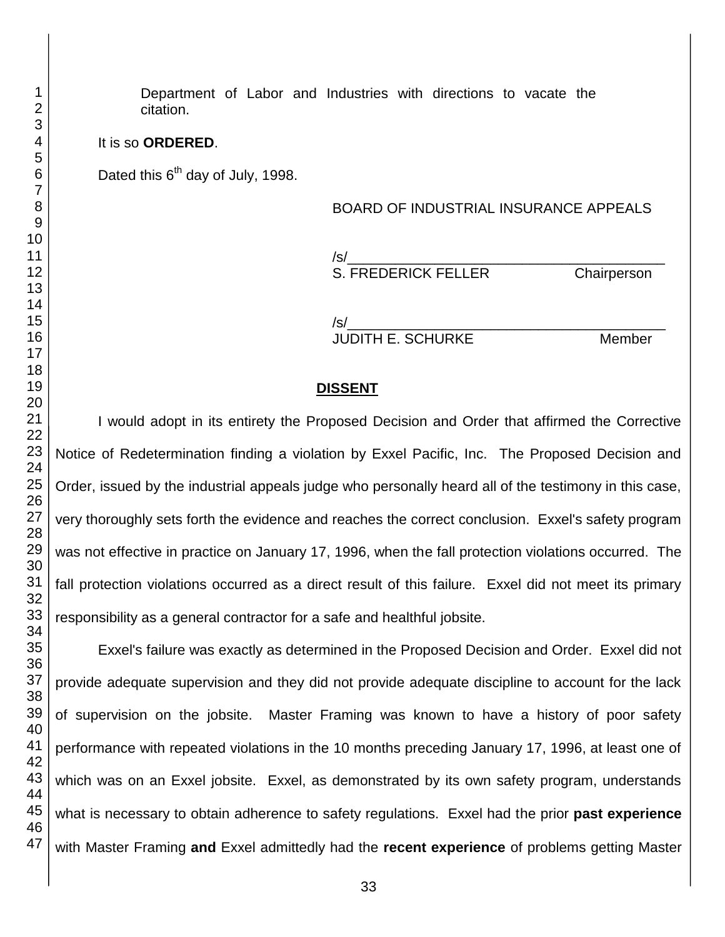Department of Labor and Industries with directions to vacate the citation.

#### It is so **ORDERED**.

Dated this  $6<sup>th</sup>$  day of July, 1998.

#### BOARD OF INDUSTRIAL INSURANCE APPEALS

/s/\_\_\_\_\_\_\_\_\_\_\_\_\_\_\_\_\_\_\_\_\_\_\_\_\_\_\_\_\_\_\_\_\_\_\_\_\_\_\_\_ S. FREDERICK FELLER Chairperson

/s/\_\_\_\_\_\_\_\_\_\_\_\_\_\_\_\_\_\_\_\_\_\_\_\_\_\_\_\_\_\_\_\_\_\_\_\_\_\_\_\_ JUDITH E. SCHURKE Member

#### **DISSENT**

I would adopt in its entirety the Proposed Decision and Order that affirmed the Corrective Notice of Redetermination finding a violation by Exxel Pacific, Inc. The Proposed Decision and Order, issued by the industrial appeals judge who personally heard all of the testimony in this case, very thoroughly sets forth the evidence and reaches the correct conclusion. Exxel's safety program was not effective in practice on January 17, 1996, when the fall protection violations occurred. The fall protection violations occurred as a direct result of this failure. Exxel did not meet its primary responsibility as a general contractor for a safe and healthful jobsite.

Exxel's failure was exactly as determined in the Proposed Decision and Order. Exxel did not provide adequate supervision and they did not provide adequate discipline to account for the lack of supervision on the jobsite. Master Framing was known to have a history of poor safety performance with repeated violations in the 10 months preceding January 17, 1996, at least one of which was on an Exxel jobsite. Exxel, as demonstrated by its own safety program, understands what is necessary to obtain adherence to safety regulations. Exxel had the prior **past experience** with Master Framing **and** Exxel admittedly had the **recent experience** of problems getting Master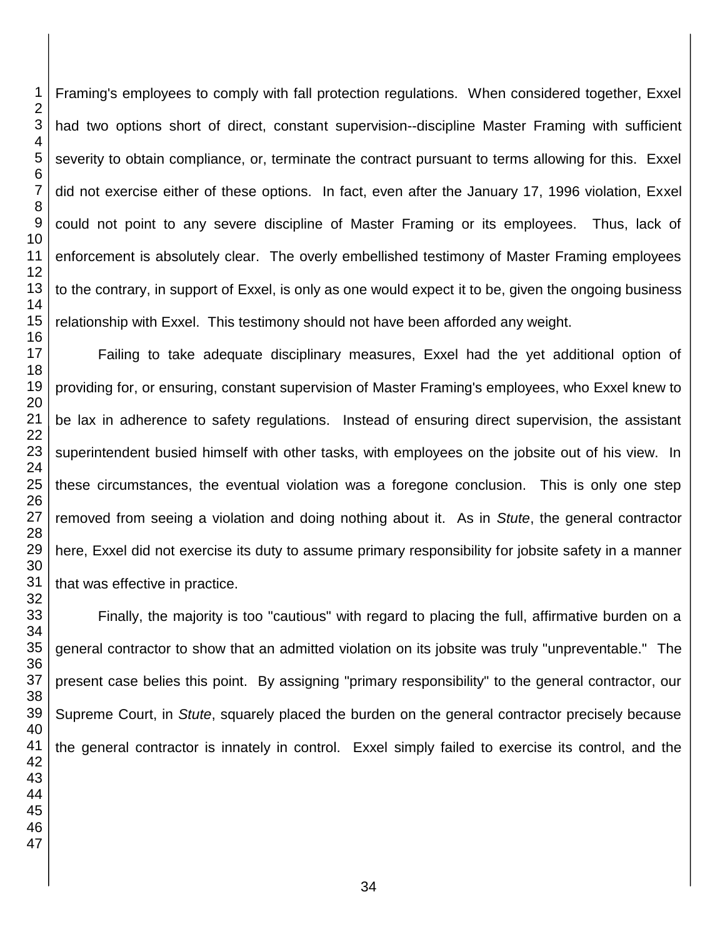Framing's employees to comply with fall protection regulations. When considered together, Exxel had two options short of direct, constant supervision--discipline Master Framing with sufficient severity to obtain compliance, or, terminate the contract pursuant to terms allowing for this. Exxel did not exercise either of these options. In fact, even after the January 17, 1996 violation, Exxel could not point to any severe discipline of Master Framing or its employees. Thus, lack of enforcement is absolutely clear. The overly embellished testimony of Master Framing employees to the contrary, in support of Exxel, is only as one would expect it to be, given the ongoing business relationship with Exxel. This testimony should not have been afforded any weight.

Failing to take adequate disciplinary measures, Exxel had the yet additional option of providing for, or ensuring, constant supervision of Master Framing's employees, who Exxel knew to be lax in adherence to safety regulations. Instead of ensuring direct supervision, the assistant superintendent busied himself with other tasks, with employees on the jobsite out of his view. In these circumstances, the eventual violation was a foregone conclusion. This is only one step removed from seeing a violation and doing nothing about it. As in *Stute*, the general contractor here, Exxel did not exercise its duty to assume primary responsibility for jobsite safety in a manner that was effective in practice.

Finally, the majority is too "cautious" with regard to placing the full, affirmative burden on a general contractor to show that an admitted violation on its jobsite was truly "unpreventable." The present case belies this point. By assigning "primary responsibility" to the general contractor, our Supreme Court, in *Stute*, squarely placed the burden on the general contractor precisely because the general contractor is innately in control. Exxel simply failed to exercise its control, and the